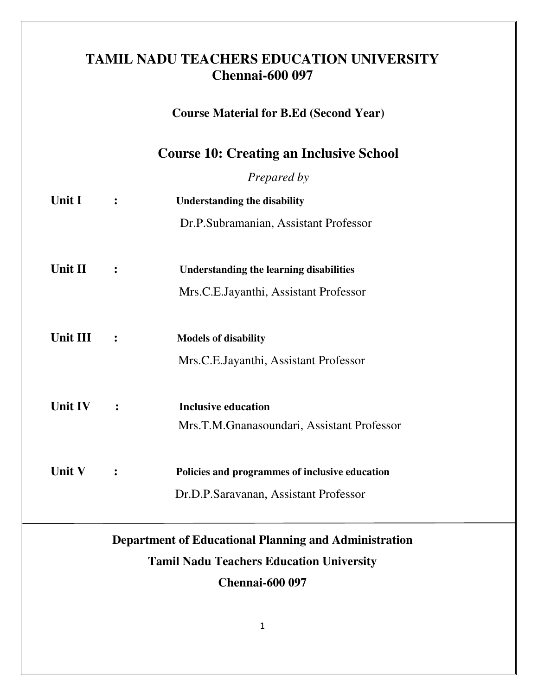## **TAMIL NADU TEACHERS EDUCATION UNIVERSITY Chennai-600 097**

 **Course Material for B.Ed (Second Year)** 

**Course 10: Creating an Inclusive School**

*Prepared by*

| Unit I         |                | <b>Understanding the disability</b>            |  |
|----------------|----------------|------------------------------------------------|--|
|                |                | Dr.P.Subramanian, Assistant Professor          |  |
|                |                |                                                |  |
| Unit II        |                | <b>Understanding the learning disabilities</b> |  |
|                |                | Mrs.C.E.Jayanthi, Assistant Professor          |  |
|                |                |                                                |  |
| Unit III       | $\ddot{\cdot}$ | <b>Models of disability</b>                    |  |
|                |                | Mrs.C.E.Jayanthi, Assistant Professor          |  |
|                |                |                                                |  |
| <b>Unit IV</b> | $\ddot{\cdot}$ | <b>Inclusive education</b>                     |  |
|                |                | Mrs.T.M.Gnanasoundari, Assistant Professor     |  |
|                |                |                                                |  |
| Unit V         |                | Policies and programmes of inclusive education |  |
|                |                | Dr.D.P.Saravanan, Assistant Professor          |  |

# **Department of Educational Planning and Administration Tamil Nadu Teachers Education University Chennai-600 097**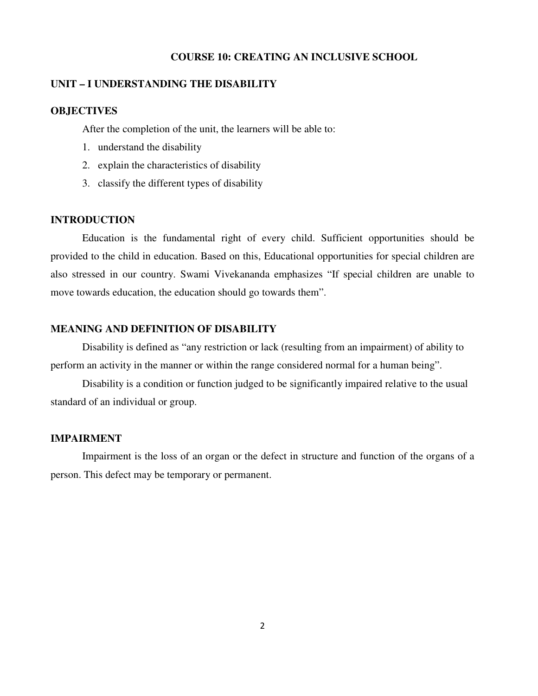#### **COURSE 10: CREATING AN INCLUSIVE SCHOOL**

## **UNIT – I UNDERSTANDING THE DISABILITY**

#### **OBJECTIVES**

After the completion of the unit, the learners will be able to:

- 1. understand the disability
- 2. explain the characteristics of disability
- 3. classify the different types of disability

#### **INTRODUCTION**

Education is the fundamental right of every child. Sufficient opportunities should be provided to the child in education. Based on this, Educational opportunities for special children are also stressed in our country. Swami Vivekananda emphasizes "If special children are unable to move towards education, the education should go towards them".

## **MEANING AND DEFINITION OF DISABILITY**

Disability is defined as "any restriction or lack (resulting from an impairment) of ability to perform an activity in the manner or within the range considered normal for a human being".

Disability is a condition or function judged to be significantly impaired relative to the usual standard of an individual or group.

#### **IMPAIRMENT**

Impairment is the loss of an organ or the defect in structure and function of the organs of a person. This defect may be temporary or permanent.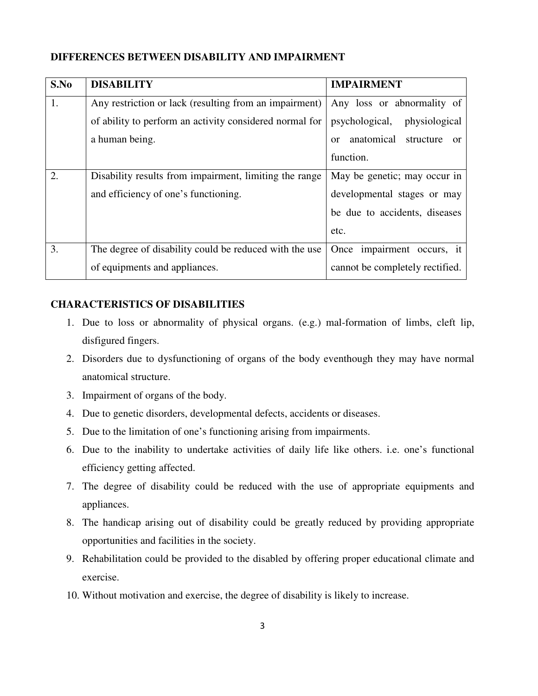## **DIFFERENCES BETWEEN DISABILITY AND IMPAIRMENT**

| S.No | <b>DISABILITY</b>                                       | <b>IMPAIRMENT</b>                      |
|------|---------------------------------------------------------|----------------------------------------|
| 1.   | Any restriction or lack (resulting from an impairment)  | Any loss or abnormality of             |
|      | of ability to perform an activity considered normal for | psychological,<br>physiological        |
|      | a human being.                                          | anatomical structure<br>or<br>$\alpha$ |
|      |                                                         | function.                              |
| 2.   | Disability results from impairment, limiting the range  | May be genetic; may occur in           |
|      | and efficiency of one's functioning.                    | developmental stages or may            |
|      |                                                         | be due to accidents, diseases          |
|      |                                                         | etc.                                   |
| 3.   | The degree of disability could be reduced with the use  | Once impairment occurs, it             |
|      | of equipments and appliances.                           | cannot be completely rectified.        |

## **CHARACTERISTICS OF DISABILITIES**

- 1. Due to loss or abnormality of physical organs. (e.g.) mal-formation of limbs, cleft lip, disfigured fingers.
- 2. Disorders due to dysfunctioning of organs of the body eventhough they may have normal anatomical structure.
- 3. Impairment of organs of the body.
- 4. Due to genetic disorders, developmental defects, accidents or diseases.
- 5. Due to the limitation of one's functioning arising from impairments.
- 6. Due to the inability to undertake activities of daily life like others. i.e. one's functional efficiency getting affected.
- 7. The degree of disability could be reduced with the use of appropriate equipments and appliances.
- 8. The handicap arising out of disability could be greatly reduced by providing appropriate opportunities and facilities in the society.
- 9. Rehabilitation could be provided to the disabled by offering proper educational climate and exercise.
- 10. Without motivation and exercise, the degree of disability is likely to increase.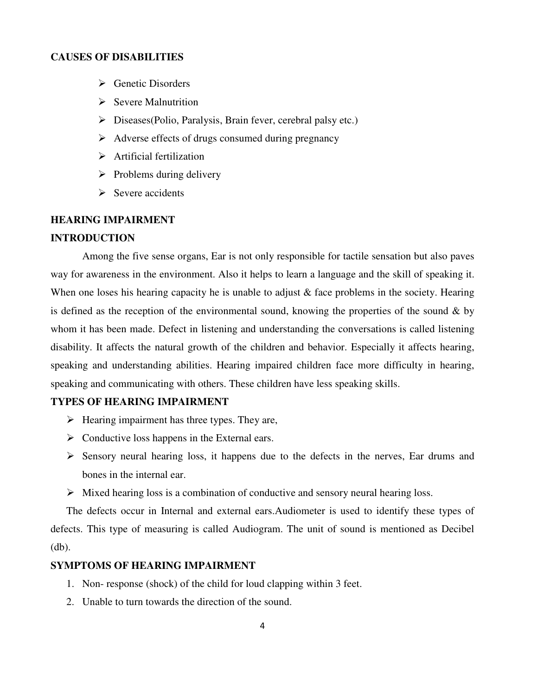#### **CAUSES OF DISABILITIES**

- $\triangleright$  Genetic Disorders
- $\triangleright$  Severe Malnutrition
- $\triangleright$  Diseases(Polio, Paralysis, Brain fever, cerebral palsy etc.)
- $\triangleright$  Adverse effects of drugs consumed during pregnancy
- $\triangleright$  Artificial fertilization
- $\triangleright$  Problems during delivery
- $\triangleright$  Severe accidents

## **HEARING IMPAIRMENT**

#### **INTRODUCTION**

Among the five sense organs, Ear is not only responsible for tactile sensation but also paves way for awareness in the environment. Also it helps to learn a language and the skill of speaking it. When one loses his hearing capacity he is unable to adjust & face problems in the society. Hearing is defined as the reception of the environmental sound, knowing the properties of the sound  $\&$  by whom it has been made. Defect in listening and understanding the conversations is called listening disability. It affects the natural growth of the children and behavior. Especially it affects hearing, speaking and understanding abilities. Hearing impaired children face more difficulty in hearing, speaking and communicating with others. These children have less speaking skills.

### **TYPES OF HEARING IMPAIRMENT**

- $\triangleright$  Hearing impairment has three types. They are,
- $\triangleright$  Conductive loss happens in the External ears.
- $\triangleright$  Sensory neural hearing loss, it happens due to the defects in the nerves, Ear drums and bones in the internal ear.
- $\triangleright$  Mixed hearing loss is a combination of conductive and sensory neural hearing loss.

The defects occur in Internal and external ears.Audiometer is used to identify these types of defects. This type of measuring is called Audiogram. The unit of sound is mentioned as Decibel (db).

## **SYMPTOMS OF HEARING IMPAIRMENT**

- 1. Non- response (shock) of the child for loud clapping within 3 feet.
- 2. Unable to turn towards the direction of the sound.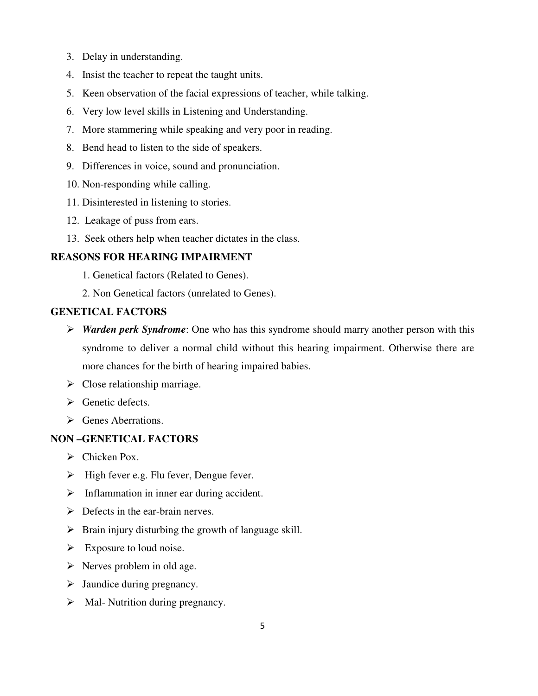- 3. Delay in understanding.
- 4. Insist the teacher to repeat the taught units.
- 5. Keen observation of the facial expressions of teacher, while talking.
- 6. Very low level skills in Listening and Understanding.
- 7. More stammering while speaking and very poor in reading.
- 8. Bend head to listen to the side of speakers.
- 9. Differences in voice, sound and pronunciation.
- 10. Non-responding while calling.
- 11. Disinterested in listening to stories.
- 12. Leakage of puss from ears.
- 13. Seek others help when teacher dictates in the class.

## **REASONS FOR HEARING IMPAIRMENT**

- 1. Genetical factors (Related to Genes).
- 2. Non Genetical factors (unrelated to Genes).

## **GENETICAL FACTORS**

- *Warden perk Syndrome*: One who has this syndrome should marry another person with this syndrome to deliver a normal child without this hearing impairment. Otherwise there are more chances for the birth of hearing impaired babies.
- $\triangleright$  Close relationship marriage.
- $\triangleright$  Genetic defects.
- $\triangleright$  Genes Aberrations.

## **NON –GENETICAL FACTORS**

- $\triangleright$  Chicken Pox.
- $\triangleright$  High fever e.g. Flu fever, Dengue fever.
- $\triangleright$  Inflammation in inner ear during accident.
- $\triangleright$  Defects in the ear-brain nerves.
- $\triangleright$  Brain injury disturbing the growth of language skill.
- $\triangleright$  Exposure to loud noise.
- $\triangleright$  Nerves problem in old age.
- $\triangleright$  Jaundice during pregnancy.
- $\triangleright$  Mal- Nutrition during pregnancy.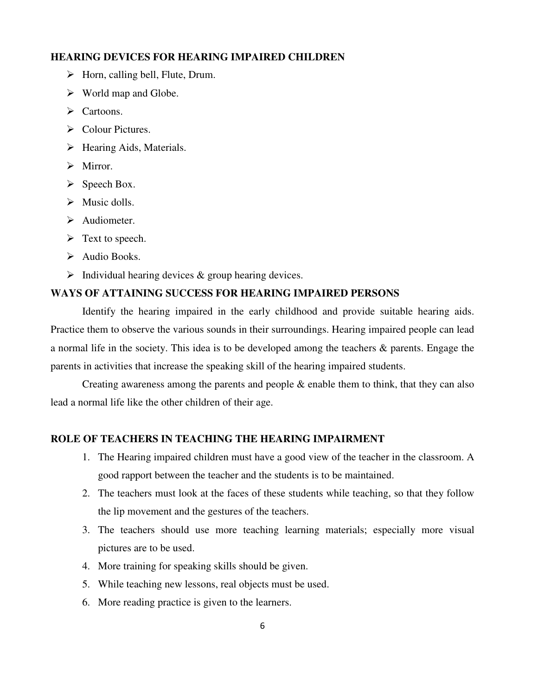#### **HEARING DEVICES FOR HEARING IMPAIRED CHILDREN**

- $\triangleright$  Horn, calling bell, Flute, Drum.
- $\triangleright$  World map and Globe.
- > Cartoons.
- $\triangleright$  Colour Pictures.
- $\triangleright$  Hearing Aids, Materials.
- $\triangleright$  Mirror.
- $\triangleright$  Speech Box.
- $\triangleright$  Music dolls.
- Audiometer.
- $\triangleright$  Text to speech.
- $\triangleright$  Audio Books.
- $\triangleright$  Individual hearing devices & group hearing devices.

#### **WAYS OF ATTAINING SUCCESS FOR HEARING IMPAIRED PERSONS**

Identify the hearing impaired in the early childhood and provide suitable hearing aids. Practice them to observe the various sounds in their surroundings. Hearing impaired people can lead a normal life in the society. This idea is to be developed among the teachers & parents. Engage the parents in activities that increase the speaking skill of the hearing impaired students.

Creating awareness among the parents and people  $\&$  enable them to think, that they can also lead a normal life like the other children of their age.

#### **ROLE OF TEACHERS IN TEACHING THE HEARING IMPAIRMENT**

- 1. The Hearing impaired children must have a good view of the teacher in the classroom. A good rapport between the teacher and the students is to be maintained.
- 2. The teachers must look at the faces of these students while teaching, so that they follow the lip movement and the gestures of the teachers.
- 3. The teachers should use more teaching learning materials; especially more visual pictures are to be used.
- 4. More training for speaking skills should be given.
- 5. While teaching new lessons, real objects must be used.
- 6. More reading practice is given to the learners.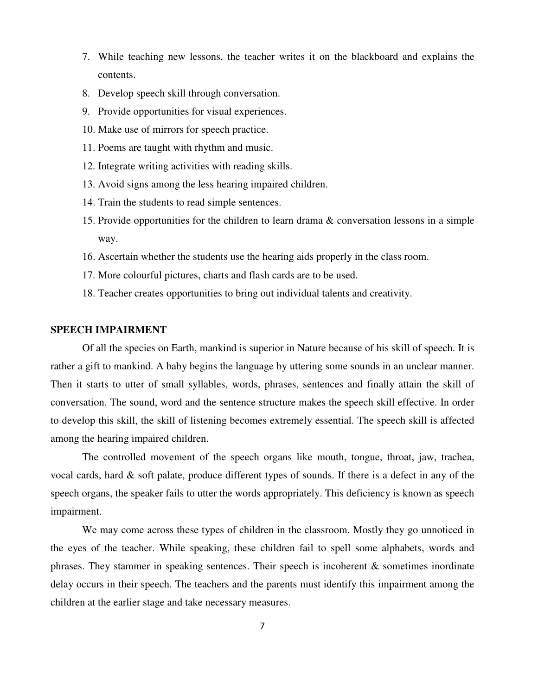- 7. While teaching new lessons, the teacher writes it on the blackboard and explains the contents.
- 8. Develop speech skill through conversation.
- 9. Provide opportunities for visual experiences.
- 10. Make use of mirrors for speech practice.
- 11. Poems are taught with rhythm and music.
- 12. Integrate writing activities with reading skills.
- 13. Avoid signs among the less hearing impaired children.
- 14. Train the students to read simple sentences.
- 15. Provide opportunities for the children to learn drama & conversation lessons in a simple way.
- 16. Ascertain whether the students use the hearing aids properly in the class room.
- 17. More colourful pictures, charts and flash cards are to be used.
- 18. Teacher creates opportunities to bring out individual talents and creativity.

#### **SPEECH IMPAIRMENT**

Of all the species on Earth, mankind is superior in Nature because of his skill of speech. It is rather a gift to mankind. A baby begins the language by uttering some sounds in an unclear manner. Then it starts to utter of small syllables, words, phrases, sentences and finally attain the skill of conversation. The sound, word and the sentence structure makes the speech skill effective. In order to develop this skill, the skill of listening becomes extremely essential. The speech skill is affected among the hearing impaired children.

The controlled movement of the speech organs like mouth, tongue, throat, jaw, trachea, vocal cards, hard & soft palate, produce different types of sounds. If there is a defect in any of the speech organs, the speaker fails to utter the words appropriately. This deficiency is known as speech impairment.

We may come across these types of children in the classroom. Mostly they go unnoticed in the eyes of the teacher. While speaking, these children fail to spell some alphabets, words and phrases. They stammer in speaking sentences. Their speech is incoherent & sometimes inordinate delay occurs in their speech. The teachers and the parents must identify this impairment among the children at the earlier stage and take necessary measures.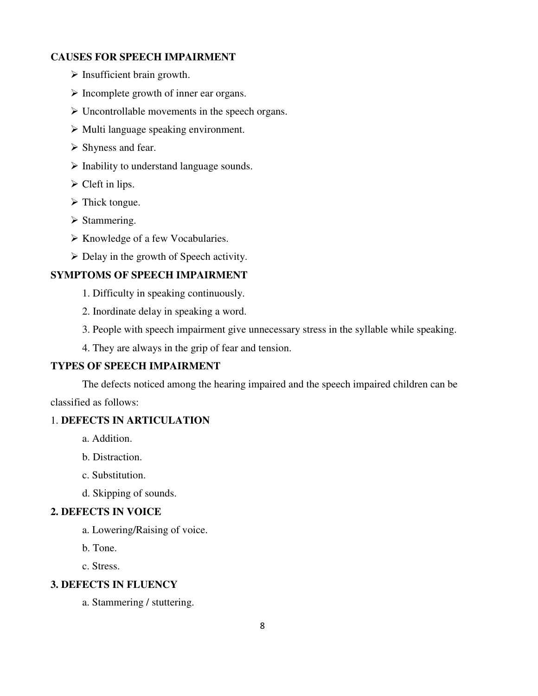## **CAUSES FOR SPEECH IMPAIRMENT**

- $\triangleright$  Insufficient brain growth.
- $\triangleright$  Incomplete growth of inner ear organs.
- $\triangleright$  Uncontrollable movements in the speech organs.
- $\triangleright$  Multi language speaking environment.
- $\triangleright$  Shyness and fear.
- $\triangleright$  Inability to understand language sounds.
- $\triangleright$  Cleft in lips.
- $\triangleright$  Thick tongue.
- $\triangleright$  Stammering.
- $\triangleright$  Knowledge of a few Vocabularies.
- $\triangleright$  Delay in the growth of Speech activity.

## **SYMPTOMS OF SPEECH IMPAIRMENT**

- 1. Difficulty in speaking continuously.
- 2. Inordinate delay in speaking a word.
- 3. People with speech impairment give unnecessary stress in the syllable while speaking.
- 4. They are always in the grip of fear and tension.

## **TYPES OF SPEECH IMPAIRMENT**

The defects noticed among the hearing impaired and the speech impaired children can be classified as follows:

## 1. **DEFECTS IN ARTICULATION**

- a. Addition.
- b. Distraction.
- c. Substitution.
- d. Skipping of sounds.

## **2. DEFECTS IN VOICE**

- a. Lowering/Raising of voice.
- b. Tone.
- c. Stress.

## **3. DEFECTS IN FLUENCY**

a. Stammering / stuttering.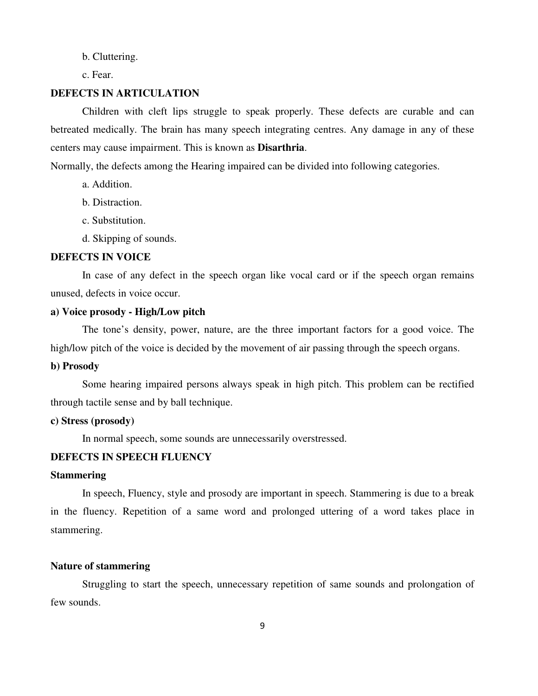b. Cluttering.

c. Fear.

## **DEFECTS IN ARTICULATION**

Children with cleft lips struggle to speak properly. These defects are curable and can betreated medically. The brain has many speech integrating centres. Any damage in any of these centers may cause impairment. This is known as **Disarthria**.

Normally, the defects among the Hearing impaired can be divided into following categories.

- a. Addition.
- b. Distraction.
- c. Substitution.
- d. Skipping of sounds.

#### **DEFECTS IN VOICE**

In case of any defect in the speech organ like vocal card or if the speech organ remains unused, defects in voice occur.

## **a) Voice prosody - High/Low pitch**

The tone's density, power, nature, are the three important factors for a good voice. The high/low pitch of the voice is decided by the movement of air passing through the speech organs.

#### **b) Prosody**

Some hearing impaired persons always speak in high pitch. This problem can be rectified through tactile sense and by ball technique.

## **c) Stress (prosody)**

In normal speech, some sounds are unnecessarily overstressed.

## **DEFECTS IN SPEECH FLUENCY**

## **Stammering**

In speech, Fluency, style and prosody are important in speech. Stammering is due to a break in the fluency. Repetition of a same word and prolonged uttering of a word takes place in stammering.

#### **Nature of stammering**

Struggling to start the speech, unnecessary repetition of same sounds and prolongation of few sounds.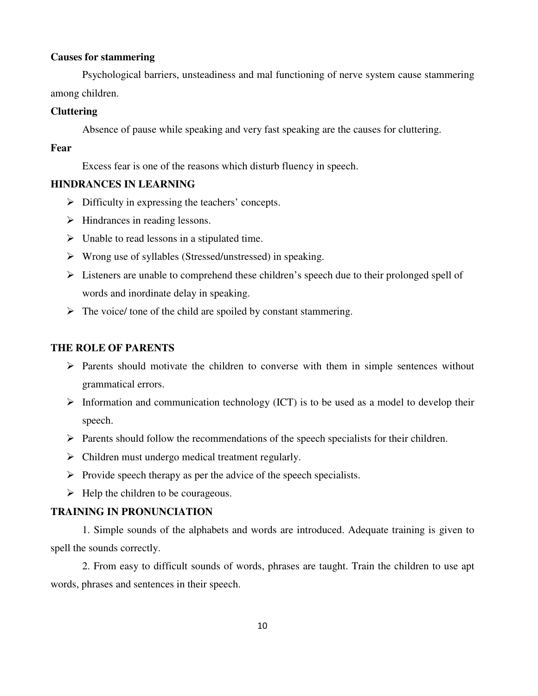#### **Causes for stammering**

Psychological barriers, unsteadiness and mal functioning of nerve system cause stammering among children.

## **Cluttering**

Absence of pause while speaking and very fast speaking are the causes for cluttering.

#### **Fear**

Excess fear is one of the reasons which disturb fluency in speech.

## **HINDRANCES IN LEARNING**

- $\triangleright$  Difficulty in expressing the teachers' concepts.
- $\triangleright$  Hindrances in reading lessons.
- $\triangleright$  Unable to read lessons in a stipulated time.
- $\triangleright$  Wrong use of syllables (Stressed/unstressed) in speaking.
- Listeners are unable to comprehend these children's speech due to their prolonged spell of words and inordinate delay in speaking.
- $\triangleright$  The voice/ tone of the child are spoiled by constant stammering.

## **THE ROLE OF PARENTS**

- $\triangleright$  Parents should motivate the children to converse with them in simple sentences without grammatical errors.
- $\triangleright$  Information and communication technology (ICT) is to be used as a model to develop their speech.
- $\triangleright$  Parents should follow the recommendations of the speech specialists for their children.
- $\triangleright$  Children must undergo medical treatment regularly.
- $\triangleright$  Provide speech therapy as per the advice of the speech specialists.
- $\triangleright$  Help the children to be courageous.

## **TRAINING IN PRONUNCIATION**

1. Simple sounds of the alphabets and words are introduced. Adequate training is given to spell the sounds correctly.

2. From easy to difficult sounds of words, phrases are taught. Train the children to use apt words, phrases and sentences in their speech.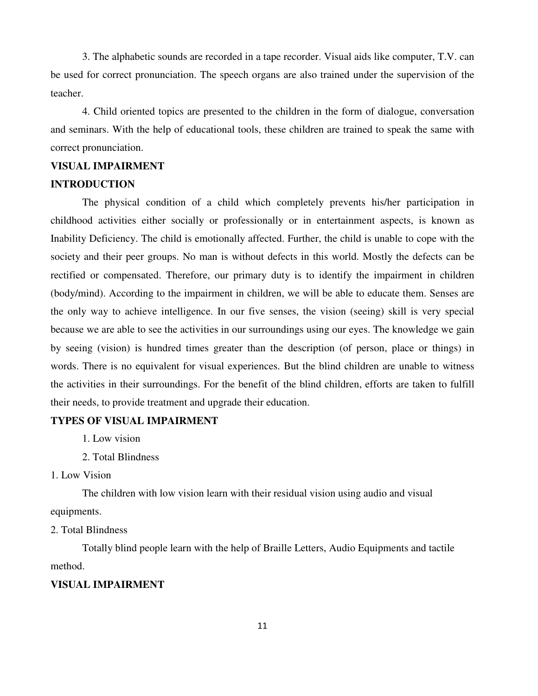3. The alphabetic sounds are recorded in a tape recorder. Visual aids like computer, T.V. can be used for correct pronunciation. The speech organs are also trained under the supervision of the teacher.

4. Child oriented topics are presented to the children in the form of dialogue, conversation and seminars. With the help of educational tools, these children are trained to speak the same with correct pronunciation.

## **VISUAL IMPAIRMENT**

## **INTRODUCTION**

The physical condition of a child which completely prevents his/her participation in childhood activities either socially or professionally or in entertainment aspects, is known as Inability Deficiency. The child is emotionally affected. Further, the child is unable to cope with the society and their peer groups. No man is without defects in this world. Mostly the defects can be rectified or compensated. Therefore, our primary duty is to identify the impairment in children (body/mind). According to the impairment in children, we will be able to educate them. Senses are the only way to achieve intelligence. In our five senses, the vision (seeing) skill is very special because we are able to see the activities in our surroundings using our eyes. The knowledge we gain by seeing (vision) is hundred times greater than the description (of person, place or things) in words. There is no equivalent for visual experiences. But the blind children are unable to witness the activities in their surroundings. For the benefit of the blind children, efforts are taken to fulfill their needs, to provide treatment and upgrade their education.

## **TYPES OF VISUAL IMPAIRMENT**

1. Low vision

2. Total Blindness

1. Low Vision

The children with low vision learn with their residual vision using audio and visual equipments.

2. Total Blindness

Totally blind people learn with the help of Braille Letters, Audio Equipments and tactile method.

## **VISUAL IMPAIRMENT**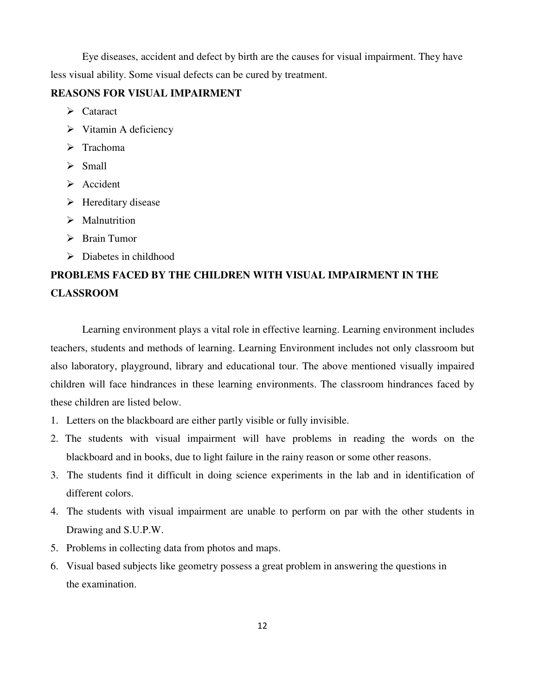Eye diseases, accident and defect by birth are the causes for visual impairment. They have less visual ability. Some visual defects can be cured by treatment.

## **REASONS FOR VISUAL IMPAIRMENT**

- $\triangleright$  Cataract
- $\triangleright$  Vitamin A deficiency
- $\triangleright$  Trachoma
- $\triangleright$  Small
- $\triangleright$  Accident
- $\triangleright$  Hereditary disease
- $\triangleright$  Malnutrition
- > Brain Tumor
- Diabetes in childhood

## **PROBLEMS FACED BY THE CHILDREN WITH VISUAL IMPAIRMENT IN THE CLASSROOM**

Learning environment plays a vital role in effective learning. Learning environment includes teachers, students and methods of learning. Learning Environment includes not only classroom but also laboratory, playground, library and educational tour. The above mentioned visually impaired children will face hindrances in these learning environments. The classroom hindrances faced by these children are listed below.

- 1. Letters on the blackboard are either partly visible or fully invisible.
- 2. The students with visual impairment will have problems in reading the words on the blackboard and in books, due to light failure in the rainy reason or some other reasons.
- 3. The students find it difficult in doing science experiments in the lab and in identification of different colors.
- 4. The students with visual impairment are unable to perform on par with the other students in Drawing and S.U.P.W.
- 5. Problems in collecting data from photos and maps.
- 6. Visual based subjects like geometry possess a great problem in answering the questions in the examination.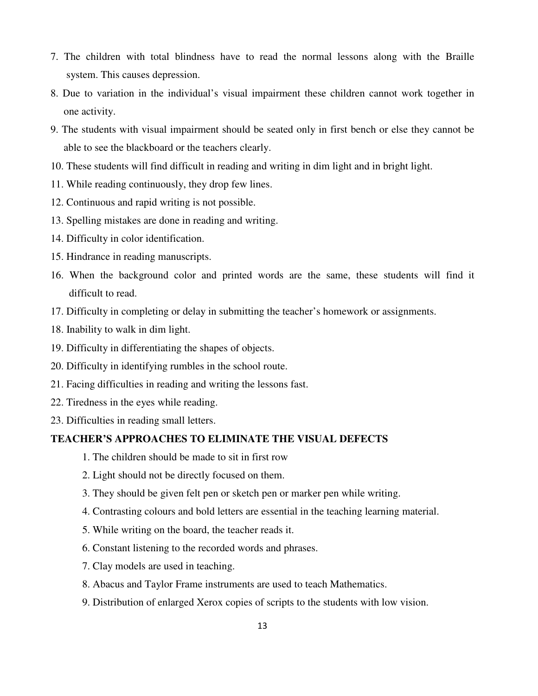- 7. The children with total blindness have to read the normal lessons along with the Braille system. This causes depression.
- 8. Due to variation in the individual's visual impairment these children cannot work together in one activity.
- 9. The students with visual impairment should be seated only in first bench or else they cannot be able to see the blackboard or the teachers clearly.
- 10. These students will find difficult in reading and writing in dim light and in bright light.
- 11. While reading continuously, they drop few lines.
- 12. Continuous and rapid writing is not possible.
- 13. Spelling mistakes are done in reading and writing.
- 14. Difficulty in color identification.
- 15. Hindrance in reading manuscripts.
- 16. When the background color and printed words are the same, these students will find it difficult to read.
- 17. Difficulty in completing or delay in submitting the teacher's homework or assignments.
- 18. Inability to walk in dim light.
- 19. Difficulty in differentiating the shapes of objects.
- 20. Difficulty in identifying rumbles in the school route.
- 21. Facing difficulties in reading and writing the lessons fast.
- 22. Tiredness in the eyes while reading.
- 23. Difficulties in reading small letters.

#### **TEACHER'S APPROACHES TO ELIMINATE THE VISUAL DEFECTS**

- 1. The children should be made to sit in first row
- 2. Light should not be directly focused on them.
- 3. They should be given felt pen or sketch pen or marker pen while writing.
- 4. Contrasting colours and bold letters are essential in the teaching learning material.
- 5. While writing on the board, the teacher reads it.
- 6. Constant listening to the recorded words and phrases.
- 7. Clay models are used in teaching.
- 8. Abacus and Taylor Frame instruments are used to teach Mathematics.
- 9. Distribution of enlarged Xerox copies of scripts to the students with low vision.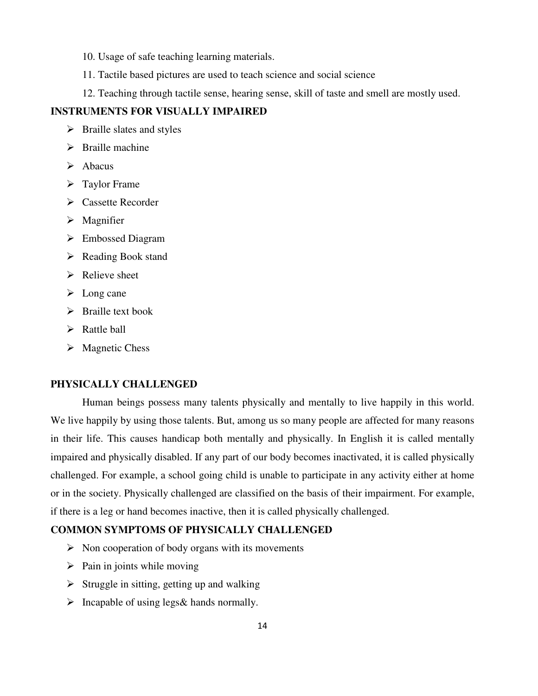- 10. Usage of safe teaching learning materials.
- 11. Tactile based pictures are used to teach science and social science
- 12. Teaching through tactile sense, hearing sense, skill of taste and smell are mostly used.

## **INSTRUMENTS FOR VISUALLY IMPAIRED**

- $\triangleright$  Braille slates and styles
- $\triangleright$  Braille machine
- $\triangleright$  Abacus
- $\triangleright$  Taylor Frame
- **►** Cassette Recorder
- $\triangleright$  Magnifier
- Embossed Diagram
- $\triangleright$  Reading Book stand
- $\triangleright$  Relieve sheet
- $\triangleright$  Long cane
- $\triangleright$  Braille text book
- $\triangleright$  Rattle ball
- $\triangleright$  Magnetic Chess

## **PHYSICALLY CHALLENGED**

Human beings possess many talents physically and mentally to live happily in this world. We live happily by using those talents. But, among us so many people are affected for many reasons in their life. This causes handicap both mentally and physically. In English it is called mentally impaired and physically disabled. If any part of our body becomes inactivated, it is called physically challenged. For example, a school going child is unable to participate in any activity either at home or in the society. Physically challenged are classified on the basis of their impairment. For example, if there is a leg or hand becomes inactive, then it is called physically challenged.

#### **COMMON SYMPTOMS OF PHYSICALLY CHALLENGED**

- $\triangleright$  Non cooperation of body organs with its movements
- $\triangleright$  Pain in joints while moving
- $\triangleright$  Struggle in sitting, getting up and walking
- $\triangleright$  Incapable of using legs & hands normally.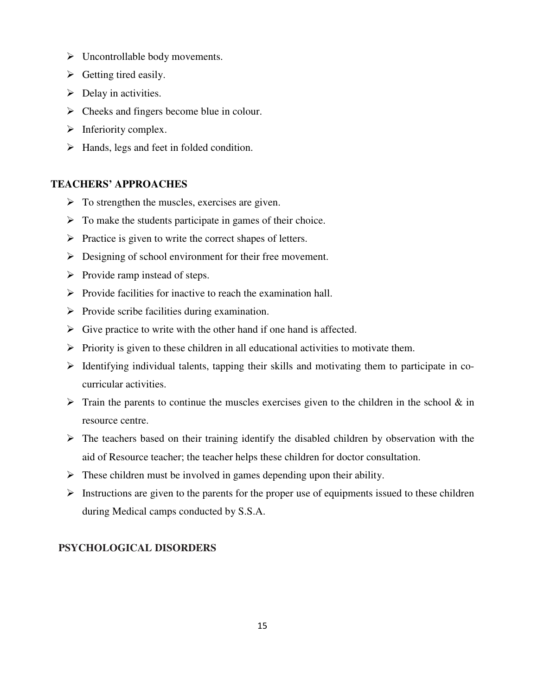- $\triangleright$  Uncontrollable body movements.
- $\triangleright$  Getting tired easily.
- $\triangleright$  Delay in activities.
- $\triangleright$  Cheeks and fingers become blue in colour.
- $\triangleright$  Inferiority complex.
- $\triangleright$  Hands, legs and feet in folded condition.

## **TEACHERS' APPROACHES**

- $\triangleright$  To strengthen the muscles, exercises are given.
- $\triangleright$  To make the students participate in games of their choice.
- $\triangleright$  Practice is given to write the correct shapes of letters.
- $\triangleright$  Designing of school environment for their free movement.
- $\triangleright$  Provide ramp instead of steps.
- $\triangleright$  Provide facilities for inactive to reach the examination hall.
- $\triangleright$  Provide scribe facilities during examination.
- $\triangleright$  Give practice to write with the other hand if one hand is affected.
- $\triangleright$  Priority is given to these children in all educational activities to motivate them.
- $\triangleright$  Identifying individual talents, tapping their skills and motivating them to participate in cocurricular activities.
- $\triangleright$  Train the parents to continue the muscles exercises given to the children in the school & in resource centre.
- $\triangleright$  The teachers based on their training identify the disabled children by observation with the aid of Resource teacher; the teacher helps these children for doctor consultation.
- $\triangleright$  These children must be involved in games depending upon their ability.
- $\triangleright$  Instructions are given to the parents for the proper use of equipments issued to these children during Medical camps conducted by S.S.A.

## **PSYCHOLOGICAL DISORDERS**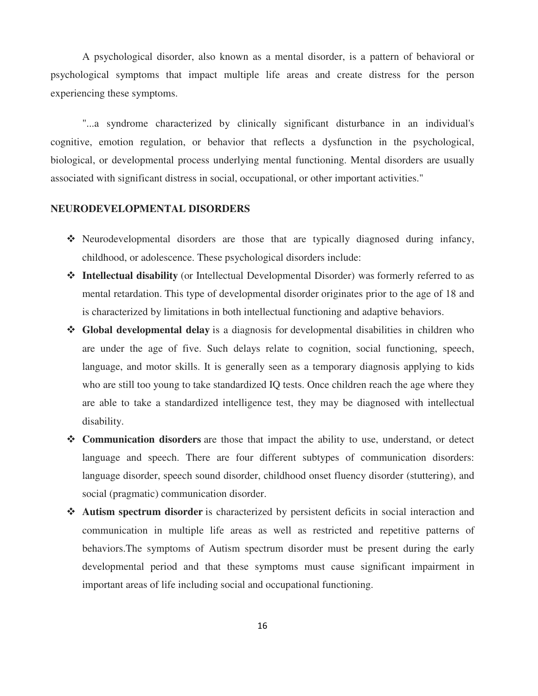A psychological disorder, also known as a mental disorder, is a pattern of behavioral or psychological symptoms that impact multiple life areas and create distress for the person experiencing these symptoms.

"...a syndrome characterized by clinically significant disturbance in an individual's cognitive, emotion regulation, or behavior that reflects a dysfunction in the psychological, biological, or developmental process underlying mental functioning. Mental disorders are usually associated with significant distress in social, occupational, or other important activities."

## **NEURODEVELOPMENTAL DISORDERS**

- Neurodevelopmental disorders are those that are typically diagnosed during infancy, childhood, or adolescence. These psychological disorders include:
- **Intellectual disability** (or Intellectual Developmental Disorder) was formerly referred to as mental retardation. This type of developmental disorder originates prior to the age of 18 and is characterized by limitations in both intellectual functioning and adaptive behaviors.
- **Global developmental delay** is a diagnosis for developmental disabilities in children who are under the age of five. Such delays relate to cognition, social functioning, speech, language, and motor skills. It is generally seen as a temporary diagnosis applying to kids who are still too young to take standardized IQ tests. Once children reach the age where they are able to take a standardized intelligence test, they may be diagnosed with intellectual disability.
- **Communication disorders** are those that impact the ability to use, understand, or detect language and speech. There are four different subtypes of communication disorders: language disorder, speech sound disorder, childhood onset fluency disorder (stuttering), and social (pragmatic) communication disorder.
- **Autism spectrum disorder** is characterized by persistent deficits in social interaction and communication in multiple life areas as well as restricted and repetitive patterns of behaviors.The symptoms of Autism spectrum disorder must be present during the early developmental period and that these symptoms must cause significant impairment in important areas of life including social and occupational functioning.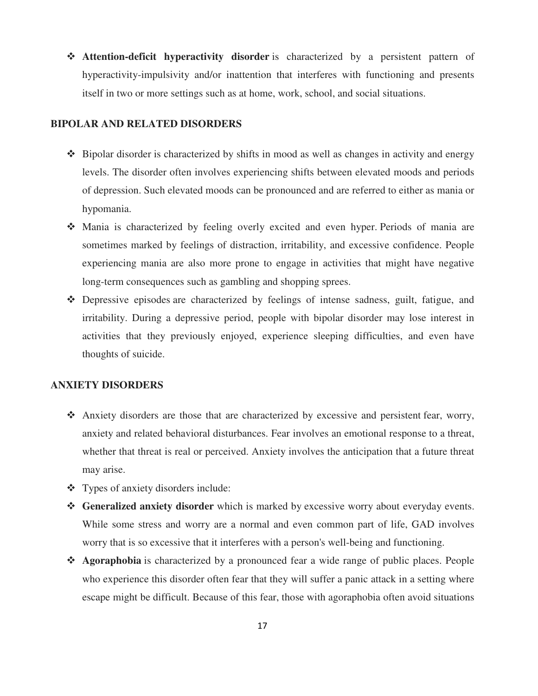- **Attention-deficit hyperactivity disorder** is characterized by a persistent pattern of hyperactivity-impulsivity and/or inattention that interferes with functioning and presents itself in two or more settings such as at home, work, school, and social situations.

#### **BIPOLAR AND RELATED DISORDERS**

- Bipolar disorder is characterized by shifts in mood as well as changes in activity and energy levels. The disorder often involves experiencing shifts between elevated moods and periods of depression. Such elevated moods can be pronounced and are referred to either as mania or hypomania.
- Mania is characterized by feeling overly excited and even hyper. Periods of mania are sometimes marked by feelings of distraction, irritability, and excessive confidence. People experiencing mania are also more prone to engage in activities that might have negative long-term consequences such as gambling and shopping sprees.
- Depressive episodes are characterized by feelings of intense sadness, guilt, fatigue, and irritability. During a depressive period, people with bipolar disorder may lose interest in activities that they previously enjoyed, experience sleeping difficulties, and even have thoughts of suicide.

## **ANXIETY DISORDERS**

- Anxiety disorders are those that are characterized by excessive and persistent fear, worry, anxiety and related behavioral disturbances. Fear involves an emotional response to a threat, whether that threat is real or perceived. Anxiety involves the anticipation that a future threat may arise.
- Types of anxiety disorders include:
- **Generalized anxiety disorder** which is marked by excessive worry about everyday events. While some stress and worry are a normal and even common part of life, GAD involves worry that is so excessive that it interferes with a person's well-being and functioning.
- **Agoraphobia** is characterized by a pronounced fear a wide range of public places. People who experience this disorder often fear that they will suffer a panic attack in a setting where escape might be difficult. Because of this fear, those with agoraphobia often avoid situations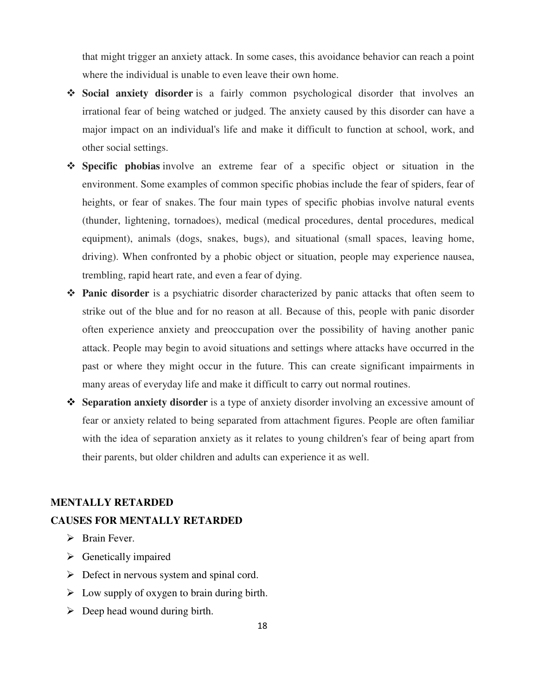that might trigger an anxiety attack. In some cases, this avoidance behavior can reach a point where the individual is unable to even leave their own home.

- **Social anxiety disorder** is a fairly common psychological disorder that involves an irrational fear of being watched or judged. The anxiety caused by this disorder can have a major impact on an individual's life and make it difficult to function at school, work, and other social settings.
- **Specific phobias** involve an extreme fear of a specific object or situation in the environment. Some examples of common specific phobias include the fear of spiders, fear of heights, or fear of snakes. The four main types of specific phobias involve natural events (thunder, lightening, tornadoes), medical (medical procedures, dental procedures, medical equipment), animals (dogs, snakes, bugs), and situational (small spaces, leaving home, driving). When confronted by a phobic object or situation, people may experience nausea, trembling, rapid heart rate, and even a fear of dying.
- **Panic disorder** is a psychiatric disorder characterized by panic attacks that often seem to strike out of the blue and for no reason at all. Because of this, people with panic disorder often experience anxiety and preoccupation over the possibility of having another panic attack. People may begin to avoid situations and settings where attacks have occurred in the past or where they might occur in the future. This can create significant impairments in many areas of everyday life and make it difficult to carry out normal routines.
- **Separation anxiety disorder** is a type of anxiety disorder involving an excessive amount of fear or anxiety related to being separated from attachment figures. People are often familiar with the idea of separation anxiety as it relates to young children's fear of being apart from their parents, but older children and adults can experience it as well.

#### **MENTALLY RETARDED**

#### **CAUSES FOR MENTALLY RETARDED**

- $\triangleright$  Brain Fever.
- $\triangleright$  Genetically impaired
- $\triangleright$  Defect in nervous system and spinal cord.
- $\triangleright$  Low supply of oxygen to brain during birth.
- $\triangleright$  Deep head wound during birth.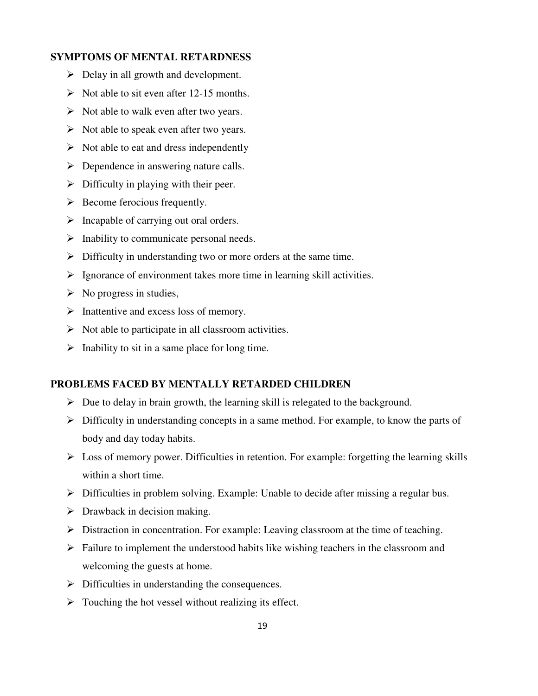## **SYMPTOMS OF MENTAL RETARDNESS**

- $\triangleright$  Delay in all growth and development.
- $\triangleright$  Not able to sit even after 12-15 months.
- $\triangleright$  Not able to walk even after two years.
- $\triangleright$  Not able to speak even after two years.
- $\triangleright$  Not able to eat and dress independently
- $\triangleright$  Dependence in answering nature calls.
- $\triangleright$  Difficulty in playing with their peer.
- $\triangleright$  Become ferocious frequently.
- $\triangleright$  Incapable of carrying out oral orders.
- $\triangleright$  Inability to communicate personal needs.
- $\triangleright$  Difficulty in understanding two or more orders at the same time.
- $\triangleright$  Ignorance of environment takes more time in learning skill activities.
- $\triangleright$  No progress in studies,
- $\triangleright$  Inattentive and excess loss of memory.
- $\triangleright$  Not able to participate in all classroom activities.
- $\triangleright$  Inability to sit in a same place for long time.

## **PROBLEMS FACED BY MENTALLY RETARDED CHILDREN**

- $\triangleright$  Due to delay in brain growth, the learning skill is relegated to the background.
- $\triangleright$  Difficulty in understanding concepts in a same method. For example, to know the parts of body and day today habits.
- $\triangleright$  Loss of memory power. Difficulties in retention. For example: forgetting the learning skills within a short time.
- $\triangleright$  Difficulties in problem solving. Example: Unable to decide after missing a regular bus.
- $\triangleright$  Drawback in decision making.
- $\triangleright$  Distraction in concentration. For example: Leaving classroom at the time of teaching.
- $\triangleright$  Failure to implement the understood habits like wishing teachers in the classroom and welcoming the guests at home.
- $\triangleright$  Difficulties in understanding the consequences.
- $\triangleright$  Touching the hot vessel without realizing its effect.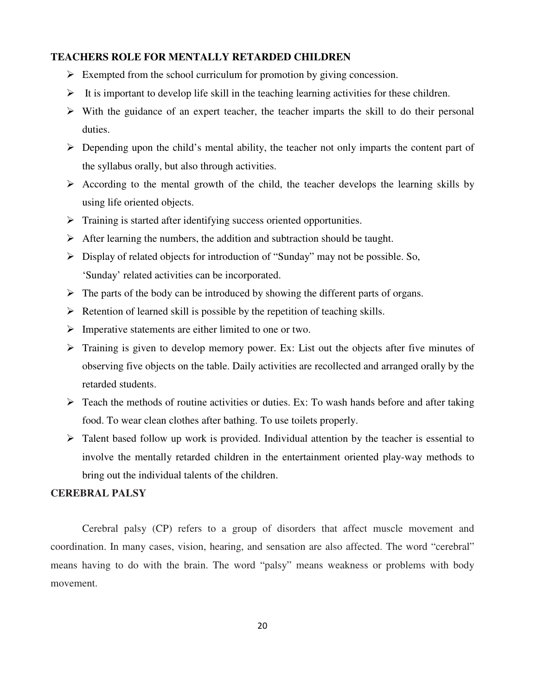## **TEACHERS ROLE FOR MENTALLY RETARDED CHILDREN**

- $\triangleright$  Exempted from the school curriculum for promotion by giving concession.
- $\triangleright$  It is important to develop life skill in the teaching learning activities for these children.
- $\triangleright$  With the guidance of an expert teacher, the teacher imparts the skill to do their personal duties.
- $\triangleright$  Depending upon the child's mental ability, the teacher not only imparts the content part of the syllabus orally, but also through activities.
- $\triangleright$  According to the mental growth of the child, the teacher develops the learning skills by using life oriented objects.
- $\triangleright$  Training is started after identifying success oriented opportunities.
- $\triangleright$  After learning the numbers, the addition and subtraction should be taught.
- $\triangleright$  Display of related objects for introduction of "Sunday" may not be possible. So, 'Sunday' related activities can be incorporated.
- $\triangleright$  The parts of the body can be introduced by showing the different parts of organs.
- $\triangleright$  Retention of learned skill is possible by the repetition of teaching skills.
- $\triangleright$  Imperative statements are either limited to one or two.
- $\triangleright$  Training is given to develop memory power. Ex: List out the objects after five minutes of observing five objects on the table. Daily activities are recollected and arranged orally by the retarded students.
- $\triangleright$  Teach the methods of routine activities or duties. Ex: To wash hands before and after taking food. To wear clean clothes after bathing. To use toilets properly.
- $\triangleright$  Talent based follow up work is provided. Individual attention by the teacher is essential to involve the mentally retarded children in the entertainment oriented play-way methods to bring out the individual talents of the children.

## **CEREBRAL PALSY**

Cerebral palsy (CP) refers to a group of disorders that affect muscle movement and coordination. In many cases, vision, hearing, and sensation are also affected. The word "cerebral" means having to do with the brain. The word "palsy" means weakness or problems with body movement.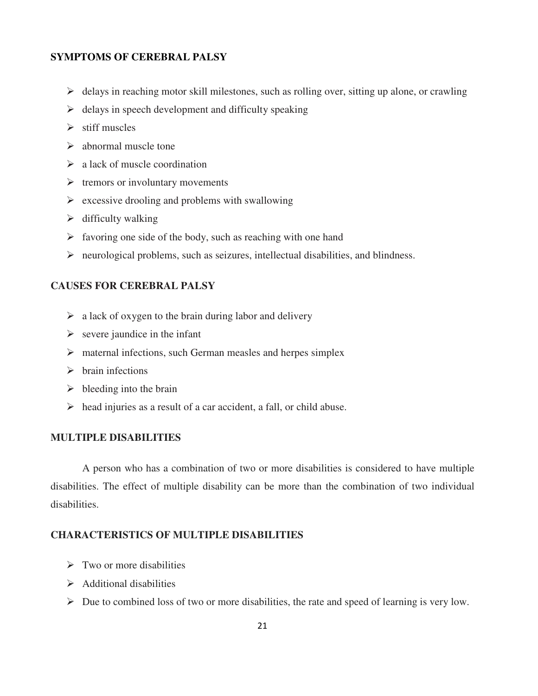## **SYMPTOMS OF CEREBRAL PALSY**

- $\triangleright$  delays in reaching motor skill milestones, such as rolling over, sitting up alone, or crawling
- $\triangleright$  delays in speech development and difficulty speaking
- $\triangleright$  stiff muscles
- $\triangleright$  abnormal muscle tone
- $\geq$  a lack of muscle coordination
- $\triangleright$  tremors or involuntary movements
- $\triangleright$  excessive drooling and problems with swallowing
- $\triangleright$  difficulty walking
- $\triangleright$  favoring one side of the body, such as reaching with one hand
- $\triangleright$  neurological problems, such as seizures, intellectual disabilities, and blindness.

## **CAUSES FOR CEREBRAL PALSY**

- $\triangleright$  a lack of oxygen to the brain during labor and delivery
- $\triangleright$  severe jaundice in the infant
- $\triangleright$  maternal infections, such German measles and herpes simplex
- $\triangleright$  brain infections
- $\triangleright$  bleeding into the brain
- $\triangleright$  head injuries as a result of a car accident, a fall, or child abuse.

## **MULTIPLE DISABILITIES**

A person who has a combination of two or more disabilities is considered to have multiple disabilities. The effect of multiple disability can be more than the combination of two individual disabilities.

#### **CHARACTERISTICS OF MULTIPLE DISABILITIES**

- $\triangleright$  Two or more disabilities
- $\triangleright$  Additional disabilities
- $\triangleright$  Due to combined loss of two or more disabilities, the rate and speed of learning is very low.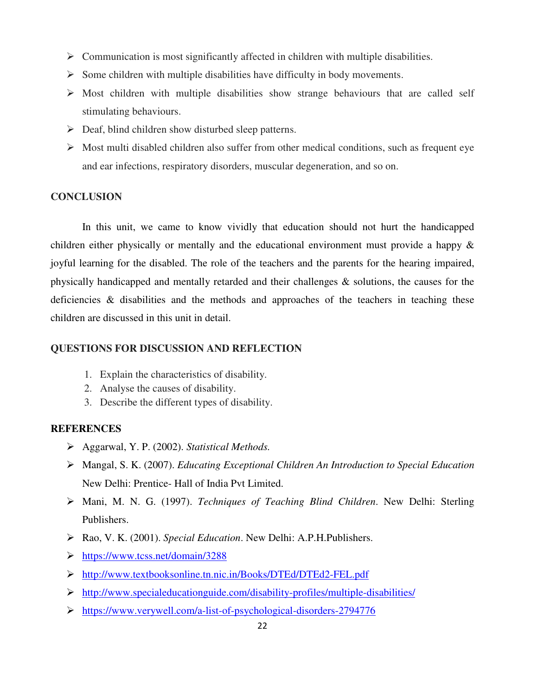- $\triangleright$  Communication is most significantly affected in children with multiple disabilities.
- $\triangleright$  Some children with multiple disabilities have difficulty in body movements.
- $\triangleright$  Most children with multiple disabilities show strange behaviours that are called self stimulating behaviours.
- $\triangleright$  Deaf, blind children show disturbed sleep patterns.
- $\triangleright$  Most multi disabled children also suffer from other medical conditions, such as frequent eye and ear infections, respiratory disorders, muscular degeneration, and so on.

#### **CONCLUSION**

In this unit, we came to know vividly that education should not hurt the handicapped children either physically or mentally and the educational environment must provide a happy & joyful learning for the disabled. The role of the teachers and the parents for the hearing impaired, physically handicapped and mentally retarded and their challenges & solutions, the causes for the deficiencies & disabilities and the methods and approaches of the teachers in teaching these children are discussed in this unit in detail.

## **QUESTIONS FOR DISCUSSION AND REFLECTION**

- 1. Explain the characteristics of disability.
- 2. Analyse the causes of disability.
- 3. Describe the different types of disability.

#### **REFERENCES**

- Aggarwal, Y. P. (2002). *Statistical Methods.*
- Mangal, S. K. (2007). *Educating Exceptional Children An Introduction to Special Education* New Delhi: Prentice- Hall of India Pvt Limited.
- Mani, M. N. G. (1997). *Techniques of Teaching Blind Children*. New Delhi: Sterling Publishers.
- Rao, V. K. (2001). *Special Education*. New Delhi: A.P.H.Publishers.
- https://www.tcss.net/domain/3288
- http://www.textbooksonline.tn.nic.in/Books/DTEd/DTEd2-FEL.pdf
- $\triangleright$  http://www.specialeducationguide.com/disability-profiles/multiple-disabilities/
- https://www.verywell.com/a-list-of-psychological-disorders-2794776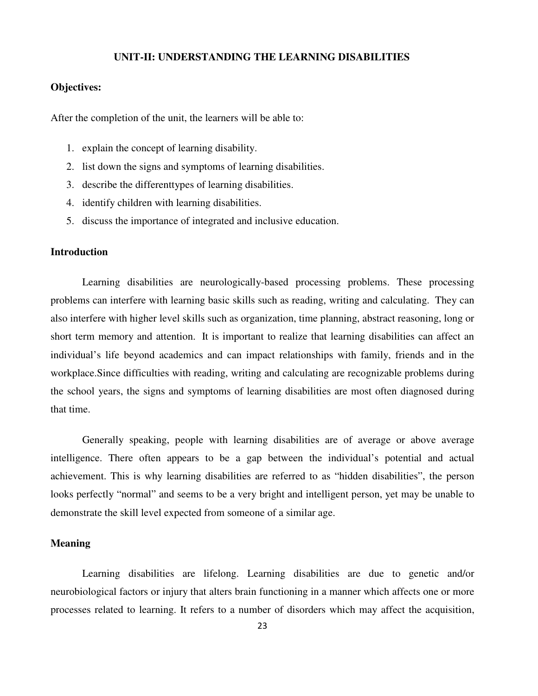#### **UNIT-II: UNDERSTANDING THE LEARNING DISABILITIES**

## **Objectives:**

After the completion of the unit, the learners will be able to:

- 1. explain the concept of learning disability.
- 2. list down the signs and symptoms of learning disabilities.
- 3. describe the differenttypes of learning disabilities.
- 4. identify children with learning disabilities.
- 5. discuss the importance of integrated and inclusive education.

## **Introduction**

Learning disabilities are neurologically-based processing problems. These processing problems can interfere with learning basic skills such as reading, writing and calculating. They can also interfere with higher level skills such as organization, time planning, abstract reasoning, long or short term memory and attention. It is important to realize that learning disabilities can affect an individual's life beyond academics and can impact relationships with family, friends and in the workplace.Since difficulties with reading, writing and calculating are recognizable problems during the school years, the signs and symptoms of learning disabilities are most often diagnosed during that time.

Generally speaking, people with learning disabilities are of average or above average intelligence. There often appears to be a gap between the individual's potential and actual achievement. This is why learning disabilities are referred to as "hidden disabilities", the person looks perfectly "normal" and seems to be a very bright and intelligent person, yet may be unable to demonstrate the skill level expected from someone of a similar age.

#### **Meaning**

 Learning disabilities are lifelong. Learning disabilities are due to genetic and/or neurobiological factors or injury that alters brain functioning in a manner which affects one or more processes related to learning. It refers to a number of disorders which may affect the acquisition,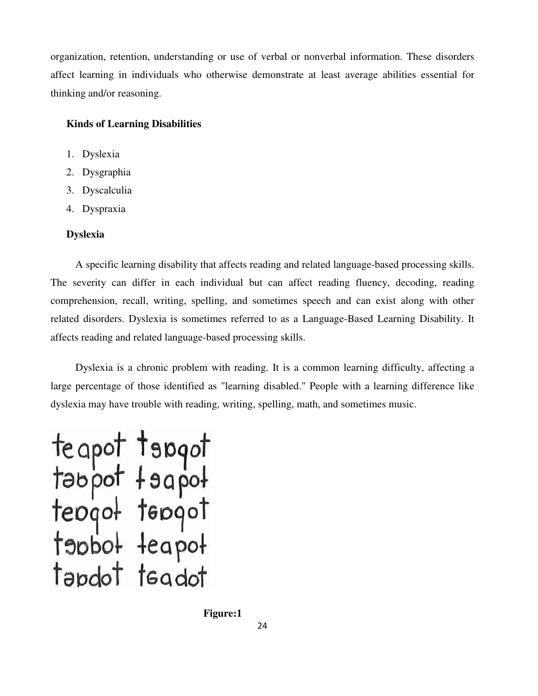organization, retention, understanding or use of verbal or nonverbal information. These disorders affect learning in individuals who otherwise demonstrate at least average abilities essential for thinking and/or reasoning.

## **Kinds of Learning Disabilities**

- 1. Dyslexia
- 2. Dysgraphia
- 3. Dyscalculia
- 4. Dyspraxia

## **Dyslexia**

A specific learning disability that affects reading and related language-based processing skills. The severity can differ in each individual but can affect reading fluency, decoding, reading comprehension, recall, writing, spelling, and sometimes speech and can exist along with other related disorders. Dyslexia is sometimes referred to as a Language-Based Learning Disability. It affects reading and related language-based processing skills.

Dyslexia is a chronic problem with reading. It is a common learning difficulty, affecting a large percentage of those identified as "learning disabled." People with a learning difference like dyslexia may have trouble with reading, writing, spelling, math, and sometimes music.

teapot tapgot<br>tabpot tagpot<br>teogot tepgot<br>teogot teogot<br>tabbot teapot tapdot tsadot

 **Figure:1**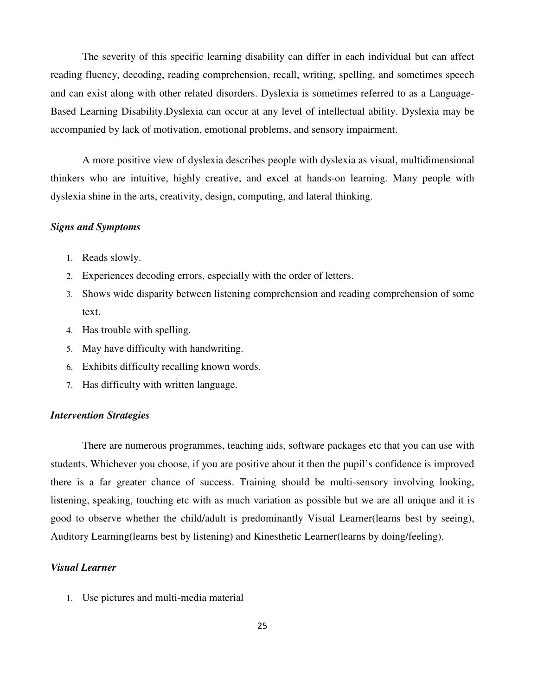The severity of this specific learning disability can differ in each individual but can affect reading fluency, decoding, reading comprehension, recall, writing, spelling, and sometimes speech and can exist along with other related disorders. Dyslexia is sometimes referred to as a Language-Based Learning Disability.Dyslexia can occur at any level of intellectual ability. Dyslexia may be accompanied by lack of motivation, emotional problems, and sensory impairment.

A more positive view of dyslexia describes people with dyslexia as visual, multidimensional thinkers who are intuitive, highly creative, and excel at hands-on learning. Many people with dyslexia shine in the arts, creativity, design, computing, and lateral thinking.

#### *Signs and Symptoms*

- 1. Reads slowly.
- 2. Experiences decoding errors, especially with the order of letters.
- 3. Shows wide disparity between listening comprehension and reading comprehension of some text.
- 4. Has trouble with spelling.
- 5. May have difficulty with handwriting.
- 6. Exhibits difficulty recalling known words.
- 7. Has difficulty with written language.

#### *Intervention Strategies*

There are numerous programmes, teaching aids, software packages etc that you can use with students. Whichever you choose, if you are positive about it then the pupil's confidence is improved there is a far greater chance of success. Training should be multi-sensory involving looking, listening, speaking, touching etc with as much variation as possible but we are all unique and it is good to observe whether the child/adult is predominantly Visual Learner(learns best by seeing), Auditory Learning(learns best by listening) and Kinesthetic Learner(learns by doing/feeling).

## *Visual Learner*

1. Use pictures and multi-media material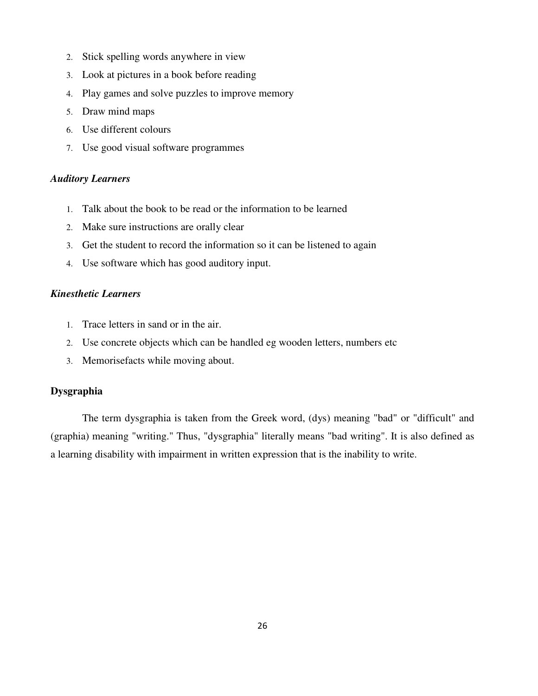- 2. Stick spelling words anywhere in view
- 3. Look at pictures in a book before reading
- 4. Play games and solve puzzles to improve memory
- 5. Draw mind maps
- 6. Use different colours
- 7. Use good visual software programmes

#### *Auditory Learners*

- 1. Talk about the book to be read or the information to be learned
- 2. Make sure instructions are orally clear
- 3. Get the student to record the information so it can be listened to again
- 4. Use software which has good auditory input.

#### *Kinesthetic Learners*

- 1. Trace letters in sand or in the air.
- 2. Use concrete objects which can be handled eg wooden letters, numbers etc
- 3. Memorisefacts while moving about.

## **Dysgraphia**

 The term dysgraphia is taken from the Greek word, (dys) meaning "bad" or "difficult" and (graphia) meaning "writing." Thus, "dysgraphia" literally means "bad writing". It is also defined as a learning disability with impairment in written expression that is the inability to write.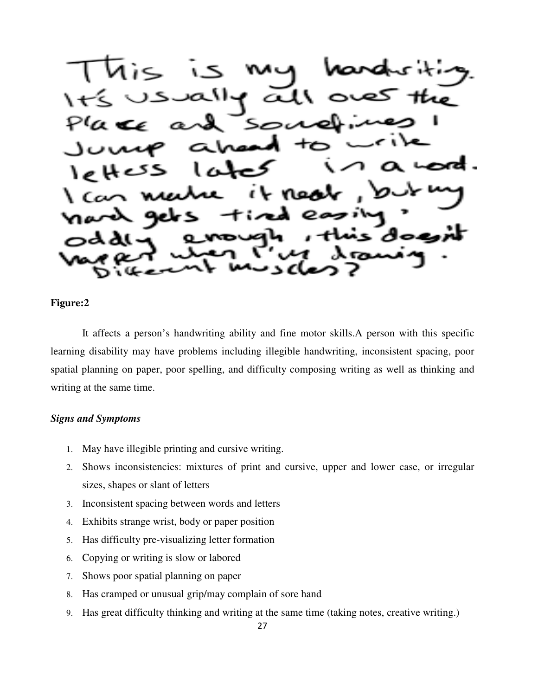$\infty$ VI o.

## **Figure:2**

It affects a person's handwriting ability and fine motor skills.A person with this specific learning disability may have problems including illegible handwriting, inconsistent spacing, poor spatial planning on paper, poor spelling, and difficulty composing writing as well as thinking and writing at the same time.

## *Signs and Symptoms*

- 1. May have illegible printing and cursive writing.
- 2. Shows inconsistencies: mixtures of print and cursive, upper and lower case, or irregular sizes, shapes or slant of letters
- 3. Inconsistent spacing between words and letters
- 4. Exhibits strange wrist, body or paper position
- 5. Has difficulty pre-visualizing letter formation
- 6. Copying or writing is slow or labored
- 7. Shows poor spatial planning on paper
- 8. Has cramped or unusual grip/may complain of sore hand
- 9. Has great difficulty thinking and writing at the same time (taking notes, creative writing.)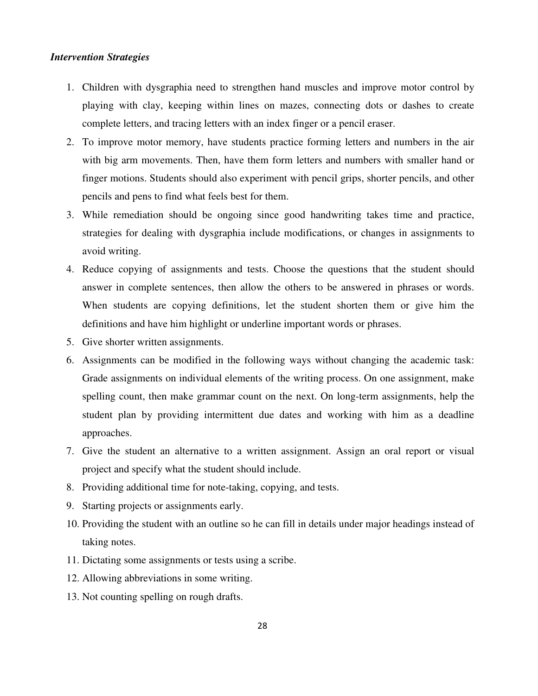#### *Intervention Strategies*

- 1. Children with dysgraphia need to strengthen hand muscles and improve motor control by playing with clay, keeping within lines on mazes, connecting dots or dashes to create complete letters, and tracing letters with an index finger or a pencil eraser.
- 2. To improve motor memory, have students practice forming letters and numbers in the air with big arm movements. Then, have them form letters and numbers with smaller hand or finger motions. Students should also experiment with pencil grips, shorter pencils, and other pencils and pens to find what feels best for them.
- 3. While remediation should be ongoing since good handwriting takes time and practice, strategies for dealing with dysgraphia include modifications, or changes in assignments to avoid writing.
- 4. Reduce copying of assignments and tests. Choose the questions that the student should answer in complete sentences, then allow the others to be answered in phrases or words. When students are copying definitions, let the student shorten them or give him the definitions and have him highlight or underline important words or phrases.
- 5. Give shorter written assignments.
- 6. Assignments can be modified in the following ways without changing the academic task: Grade assignments on individual elements of the writing process. On one assignment, make spelling count, then make grammar count on the next. On long-term assignments, help the student plan by providing intermittent due dates and working with him as a deadline approaches.
- 7. Give the student an alternative to a written assignment. Assign an oral report or visual project and specify what the student should include.
- 8. Providing additional time for note-taking, copying, and tests.
- 9. Starting projects or assignments early.
- 10. Providing the student with an outline so he can fill in details under major headings instead of taking notes.
- 11. Dictating some assignments or tests using a scribe.
- 12. Allowing abbreviations in some writing.
- 13. Not counting spelling on rough drafts.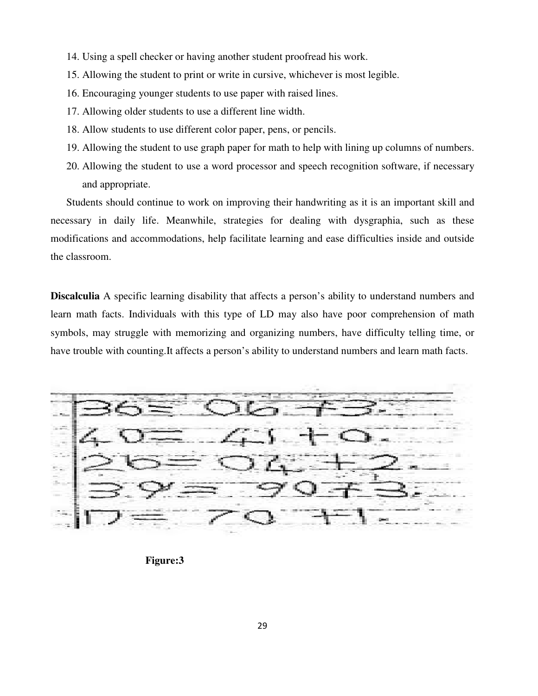- 14. Using a spell checker or having another student proofread his work.
- 15. Allowing the student to print or write in cursive, whichever is most legible.
- 16. Encouraging younger students to use paper with raised lines.
- 17. Allowing older students to use a different line width.
- 18. Allow students to use different color paper, pens, or pencils.
- 19. Allowing the student to use graph paper for math to help with lining up columns of numbers.
- 20. Allowing the student to use a word processor and speech recognition software, if necessary and appropriate.

Students should continue to work on improving their handwriting as it is an important skill and necessary in daily life. Meanwhile, strategies for dealing with dysgraphia, such as these modifications and accommodations, help facilitate learning and ease difficulties inside and outside the classroom.

**Discalculia** A specific learning disability that affects a person's ability to understand numbers and learn math facts. Individuals with this type of LD may also have poor comprehension of math symbols, may struggle with memorizing and organizing numbers, have difficulty telling time, or have trouble with counting.It affects a person's ability to understand numbers and learn math facts.



**Figure:3**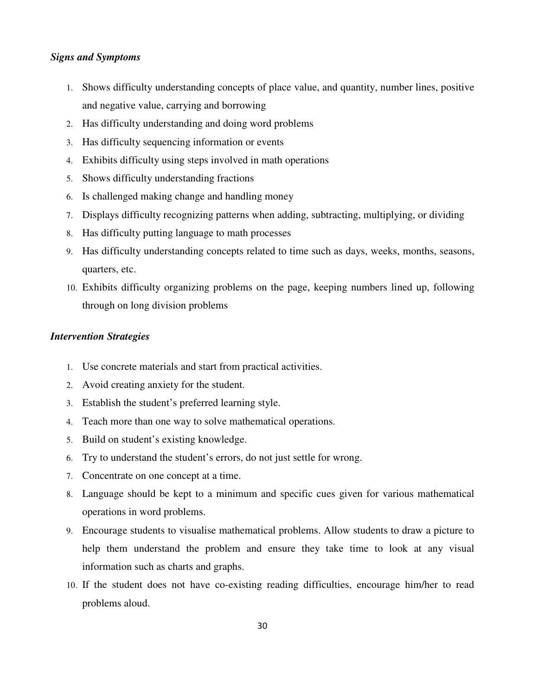## *Signs and Symptoms*

- 1. Shows difficulty understanding concepts of place value, and quantity, number lines, positive and negative value, carrying and borrowing
- 2. Has difficulty understanding and doing word problems
- 3. Has difficulty sequencing information or events
- 4. Exhibits difficulty using steps involved in math operations
- 5. Shows difficulty understanding fractions
- 6. Is challenged making change and handling money
- 7. Displays difficulty recognizing patterns when adding, subtracting, multiplying, or dividing
- 8. Has difficulty putting language to math processes
- 9. Has difficulty understanding concepts related to time such as days, weeks, months, seasons, quarters, etc.
- 10. Exhibits difficulty organizing problems on the page, keeping numbers lined up, following through on long division problems

## *Intervention Strategies*

- 1. Use concrete materials and start from practical activities.
- 2. Avoid creating anxiety for the student.
- 3. Establish the student's preferred learning style.
- 4. Teach more than one way to solve mathematical operations.
- 5. Build on student's existing knowledge.
- 6. Try to understand the student's errors, do not just settle for wrong.
- 7. Concentrate on one concept at a time.
- 8. Language should be kept to a minimum and specific cues given for various mathematical operations in word problems.
- 9. Encourage students to visualise mathematical problems. Allow students to draw a picture to help them understand the problem and ensure they take time to look at any visual information such as charts and graphs.
- 10. If the student does not have co-existing reading difficulties, encourage him/her to read problems aloud.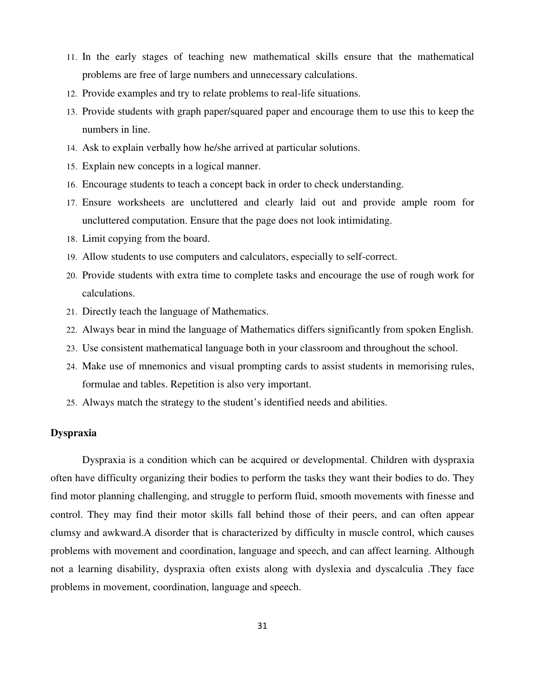- 11. In the early stages of teaching new mathematical skills ensure that the mathematical problems are free of large numbers and unnecessary calculations.
- 12. Provide examples and try to relate problems to real-life situations.
- 13. Provide students with graph paper/squared paper and encourage them to use this to keep the numbers in line.
- 14. Ask to explain verbally how he/she arrived at particular solutions.
- 15. Explain new concepts in a logical manner.
- 16. Encourage students to teach a concept back in order to check understanding.
- 17. Ensure worksheets are uncluttered and clearly laid out and provide ample room for uncluttered computation. Ensure that the page does not look intimidating.
- 18. Limit copying from the board.
- 19. Allow students to use computers and calculators, especially to self-correct.
- 20. Provide students with extra time to complete tasks and encourage the use of rough work for calculations.
- 21. Directly teach the language of Mathematics.
- 22. Always bear in mind the language of Mathematics differs significantly from spoken English.
- 23. Use consistent mathematical language both in your classroom and throughout the school.
- 24. Make use of mnemonics and visual prompting cards to assist students in memorising rules, formulae and tables. Repetition is also very important.
- 25. Always match the strategy to the student's identified needs and abilities.

## **Dyspraxia**

 Dyspraxia is a condition which can be acquired or developmental. Children with dyspraxia often have difficulty organizing their bodies to perform the tasks they want their bodies to do. They find motor planning challenging, and struggle to perform fluid, smooth movements with finesse and control. They may find their motor skills fall behind those of their peers, and can often appear clumsy and awkward.A disorder that is characterized by difficulty in muscle control, which causes problems with movement and coordination, language and speech, and can affect learning. Although not a learning disability, dyspraxia often exists along with dyslexia and dyscalculia .They face problems in movement, coordination, language and speech.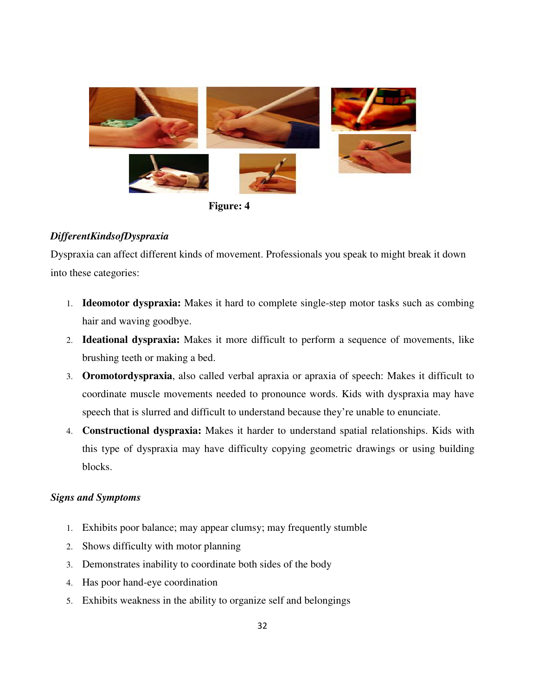

**Figure: 4** 

## *DifferentKindsofDyspraxia*

Dyspraxia can affect different kinds of movement. Professionals you speak to might break it down into these categories:

- 1. **Ideomotor dyspraxia:** Makes it hard to complete single-step motor tasks such as combing hair and waving goodbye.
- 2. **Ideational dyspraxia:** Makes it more difficult to perform a sequence of movements, like brushing teeth or making a bed.
- 3. **Oromotordyspraxia**, also called verbal apraxia or apraxia of speech: Makes it difficult to coordinate muscle movements needed to pronounce words. Kids with dyspraxia may have speech that is slurred and difficult to understand because they're unable to enunciate.
- 4. **Constructional dyspraxia:** Makes it harder to understand spatial relationships. Kids with this type of dyspraxia may have difficulty copying geometric drawings or using building blocks.

## *Signs and Symptoms*

- 1. Exhibits poor balance; may appear clumsy; may frequently stumble
- 2. Shows difficulty with motor planning
- 3. Demonstrates inability to coordinate both sides of the body
- 4. Has poor hand-eye coordination
- 5. Exhibits weakness in the ability to organize self and belongings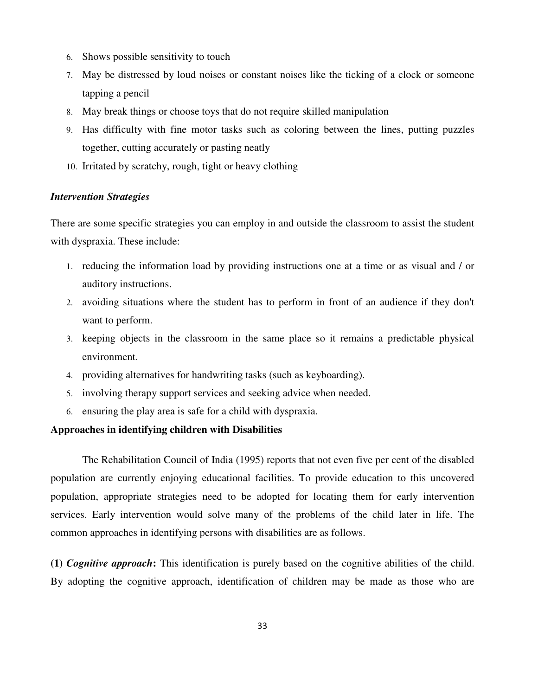- 6. Shows possible sensitivity to touch
- 7. May be distressed by loud noises or constant noises like the ticking of a clock or someone tapping a pencil
- 8. May break things or choose toys that do not require skilled manipulation
- 9. Has difficulty with fine motor tasks such as coloring between the lines, putting puzzles together, cutting accurately or pasting neatly
- 10. Irritated by scratchy, rough, tight or heavy clothing

## *Intervention Strategies*

There are some specific strategies you can employ in and outside the classroom to assist the student with dyspraxia. These include:

- 1. reducing the information load by providing instructions one at a time or as visual and / or auditory instructions.
- 2. avoiding situations where the student has to perform in front of an audience if they don't want to perform.
- 3. keeping objects in the classroom in the same place so it remains a predictable physical environment.
- 4. providing alternatives for handwriting tasks (such as keyboarding).
- 5. involving therapy support services and seeking advice when needed.
- 6. ensuring the play area is safe for a child with dyspraxia.

#### **Approaches in identifying children with Disabilities**

 The Rehabilitation Council of India (1995) reports that not even five per cent of the disabled population are currently enjoying educational facilities. To provide education to this uncovered population, appropriate strategies need to be adopted for locating them for early intervention services. Early intervention would solve many of the problems of the child later in life. The common approaches in identifying persons with disabilities are as follows.

**(1)** *Cognitive approach***:** This identification is purely based on the cognitive abilities of the child. By adopting the cognitive approach, identification of children may be made as those who are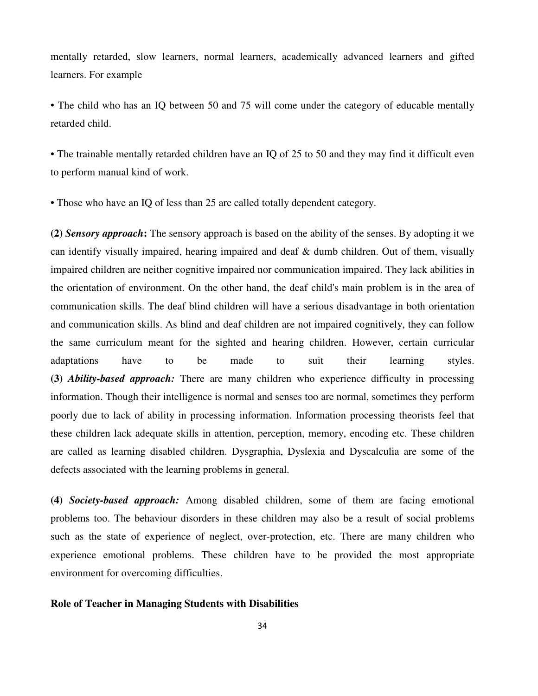mentally retarded, slow learners, normal learners, academically advanced learners and gifted learners. For example

• The child who has an IQ between 50 and 75 will come under the category of educable mentally retarded child.

• The trainable mentally retarded children have an IQ of 25 to 50 and they may find it difficult even to perform manual kind of work.

• Those who have an IQ of less than 25 are called totally dependent category.

**(2)** *Sensory approach***:** The sensory approach is based on the ability of the senses. By adopting it we can identify visually impaired, hearing impaired and deaf & dumb children. Out of them, visually impaired children are neither cognitive impaired nor communication impaired. They lack abilities in the orientation of environment. On the other hand, the deaf child's main problem is in the area of communication skills. The deaf blind children will have a serious disadvantage in both orientation and communication skills. As blind and deaf children are not impaired cognitively, they can follow the same curriculum meant for the sighted and hearing children. However, certain curricular adaptations have to be made to suit their learning styles. **(3)** *Ability-based approach:* There are many children who experience difficulty in processing information. Though their intelligence is normal and senses too are normal, sometimes they perform poorly due to lack of ability in processing information. Information processing theorists feel that these children lack adequate skills in attention, perception, memory, encoding etc. These children are called as learning disabled children. Dysgraphia, Dyslexia and Dyscalculia are some of the defects associated with the learning problems in general.

**(4)** *Society-based approach:* Among disabled children, some of them are facing emotional problems too. The behaviour disorders in these children may also be a result of social problems such as the state of experience of neglect, over-protection, etc. There are many children who experience emotional problems. These children have to be provided the most appropriate environment for overcoming difficulties.

#### **Role of Teacher in Managing Students with Disabilities**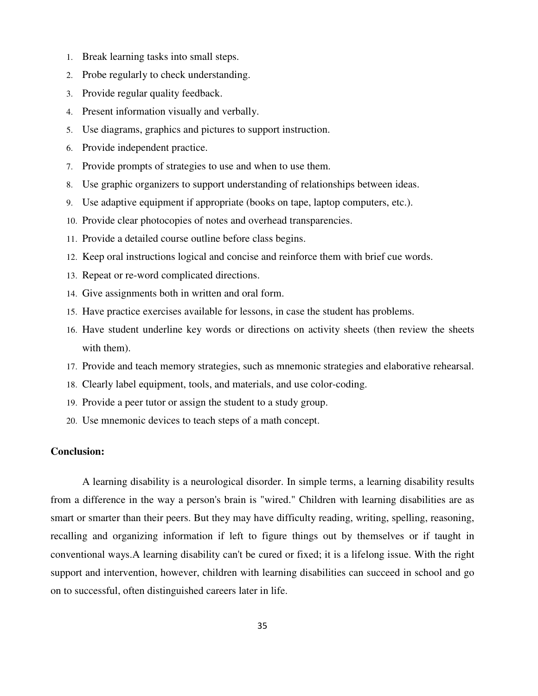- 1. Break learning tasks into small steps.
- 2. Probe regularly to check understanding.
- 3. Provide regular quality feedback.
- 4. Present information visually and verbally.
- 5. Use diagrams, graphics and pictures to support instruction.
- 6. Provide independent practice.
- 7. Provide prompts of strategies to use and when to use them.
- 8. Use graphic organizers to support understanding of relationships between ideas.
- 9. Use adaptive equipment if appropriate (books on tape, laptop computers, etc.).
- 10. Provide clear photocopies of notes and overhead transparencies.
- 11. Provide a detailed course outline before class begins.
- 12. Keep oral instructions logical and concise and reinforce them with brief cue words.
- 13. Repeat or re-word complicated directions.
- 14. Give assignments both in written and oral form.
- 15. Have practice exercises available for lessons, in case the student has problems.
- 16. Have student underline key words or directions on activity sheets (then review the sheets with them).
- 17. Provide and teach memory strategies, such as mnemonic strategies and elaborative rehearsal.
- 18. Clearly label equipment, tools, and materials, and use color-coding.
- 19. Provide a peer tutor or assign the student to a study group.
- 20. Use mnemonic devices to teach steps of a math concept.

## **Conclusion:**

A learning disability is a neurological disorder. In simple terms, a learning disability results from a difference in the way a person's brain is "wired." Children with learning disabilities are as smart or smarter than their peers. But they may have difficulty reading, writing, spelling, reasoning, recalling and organizing information if left to figure things out by themselves or if taught in conventional ways.A learning disability can't be cured or fixed; it is a lifelong issue. With the right support and intervention, however, children with learning disabilities can succeed in school and go on to successful, often distinguished careers later in life.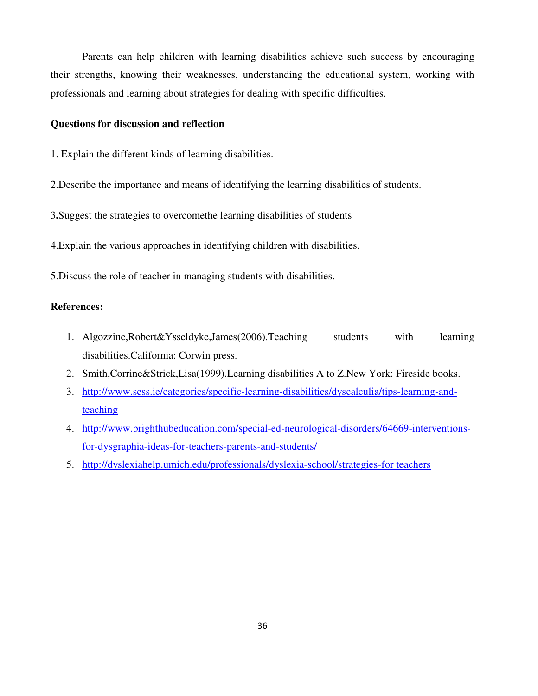Parents can help children with learning disabilities achieve such success by encouraging their strengths, knowing their weaknesses, understanding the educational system, working with professionals and learning about strategies for dealing with specific difficulties.

#### **Questions for discussion and reflection**

- 1. Explain the different kinds of learning disabilities.
- 2.Describe the importance and means of identifying the learning disabilities of students.

3**.**Suggest the strategies to overcomethe learning disabilities of students

4.Explain the various approaches in identifying children with disabilities.

5.Discuss the role of teacher in managing students with disabilities.

## **References:**

- 1. Algozzine,Robert&Ysseldyke,James(2006).Teaching students with learning disabilities.California: Corwin press.
- 2. Smith,Corrine&Strick,Lisa(1999).Learning disabilities A to Z.New York: Fireside books.
- 3. http://www.sess.ie/categories/specific-learning-disabilities/dyscalculia/tips-learning-andteaching
- 4. http://www.brighthubeducation.com/special-ed-neurological-disorders/64669-interventionsfor-dysgraphia-ideas-for-teachers-parents-and-students/
- 5. http://dyslexiahelp.umich.edu/professionals/dyslexia-school/strategies-for teachers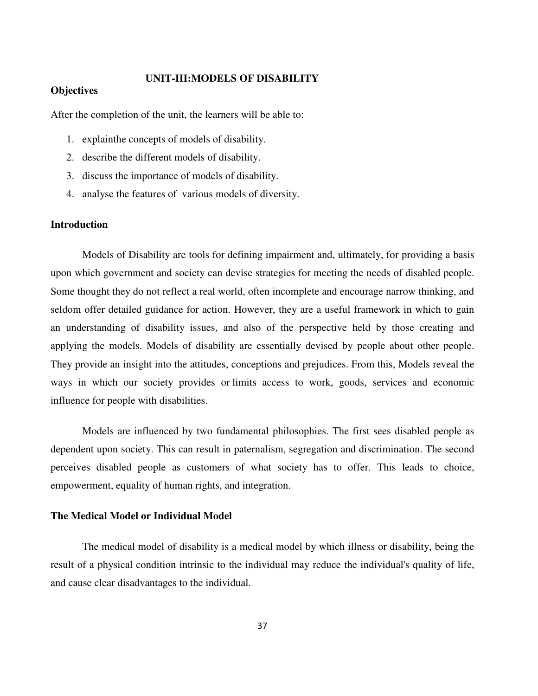#### **UNIT-III:MODELS OF DISABILITY**

#### **Objectives**

After the completion of the unit, the learners will be able to:

- 1. explainthe concepts of models of disability.
- 2. describe the different models of disability.
- 3. discuss the importance of models of disability.
- 4. analyse the features of various models of diversity.

#### **Introduction**

 Models of Disability are tools for defining impairment and, ultimately, for providing a basis upon which government and society can devise strategies for meeting the needs of disabled people. Some thought they do not reflect a real world, often incomplete and encourage narrow thinking, and seldom offer detailed guidance for action. However, they are a useful framework in which to gain an understanding of disability issues, and also of the perspective held by those creating and applying the models. Models of disability are essentially devised by people about other people. They provide an insight into the attitudes, conceptions and prejudices. From this, Models reveal the ways in which our society provides or limits access to work, goods, services and economic influence for people with disabilities.

 Models are influenced by two fundamental philosophies. The first sees disabled people as dependent upon society. This can result in paternalism, segregation and discrimination. The second perceives disabled people as customers of what society has to offer. This leads to choice, empowerment, equality of human rights, and integration.

#### **The Medical Model or Individual Model**

 The medical model of disability is a medical model by which illness or disability, being the result of a physical condition intrinsic to the individual may reduce the individual's quality of life, and cause clear disadvantages to the individual.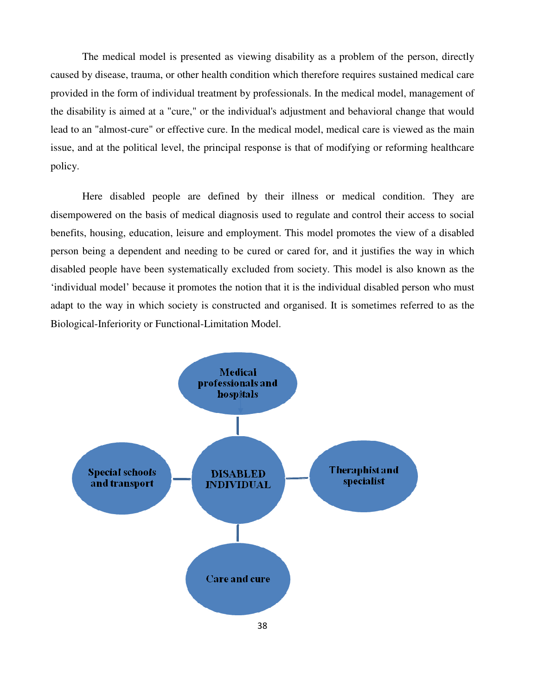The medical model is presented as viewing disability as a problem of the person, directly caused by disease, trauma, or other health condition which therefore requires sustained medical care provided in the form of individual treatment by professionals. In the medical model, management of the disability is aimed at a "cure," or the individual's adjustment and behavioral change that would lead to an "almost-cure" or effective cure. In the medical model, medical care is viewed as the main issue, and at the political level, the principal response is that of modifying or reforming healthcare policy.

 Here disabled people are defined by their illness or medical condition. They are disempowered on the basis of medical diagnosis used to regulate and control their access to social benefits, housing, education, leisure and employment. This model promotes the view of a disabled person being a dependent and needing to be cured or cared for, and it justifies the way in which disabled people have been systematically excluded from society. This model is also known as the 'individual model' because it promotes the notion that it is the individual disabled person who must adapt to the way in which society is constructed and organised. It is sometimes referred to as the Biological-Inferiority or Functional-Limitation Model.

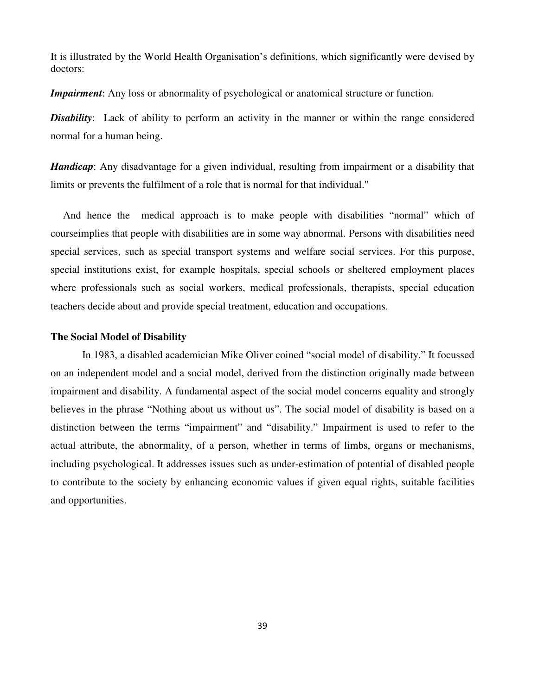It is illustrated by the World Health Organisation's definitions, which significantly were devised by doctors:

*Impairment*: Any loss or abnormality of psychological or anatomical structure or function.

**Disability**: Lack of ability to perform an activity in the manner or within the range considered normal for a human being.

*Handicap*: Any disadvantage for a given individual, resulting from impairment or a disability that limits or prevents the fulfilment of a role that is normal for that individual."

 And hence the medical approach is to make people with disabilities "normal" which of courseimplies that people with disabilities are in some way abnormal. Persons with disabilities need special services, such as special transport systems and welfare social services. For this purpose, special institutions exist, for example hospitals, special schools or sheltered employment places where professionals such as social workers, medical professionals, therapists, special education teachers decide about and provide special treatment, education and occupations.

#### **The Social Model of Disability**

 In 1983, a disabled academician Mike Oliver coined "social model of disability." It focussed on an independent model and a social model, derived from the distinction originally made between impairment and disability. A fundamental aspect of the social model concerns equality and strongly believes in the phrase "Nothing about us without us". The social model of disability is based on a distinction between the terms "impairment" and "disability." Impairment is used to refer to the actual attribute, the abnormality, of a person, whether in terms of limbs, organs or mechanisms, including psychological. It addresses issues such as under-estimation of potential of disabled people to contribute to the society by enhancing economic values if given equal rights, suitable facilities and opportunities.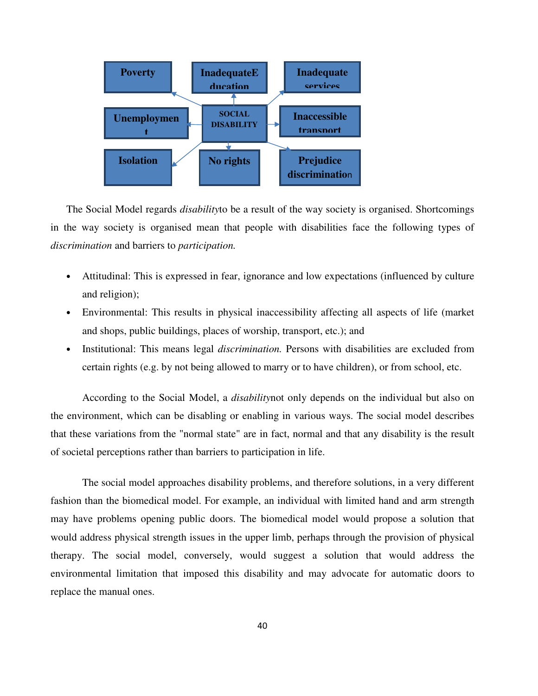

The Social Model regards *disability*to be a result of the way society is organised. Shortcomings in the way society is organised mean that people with disabilities face the following types of *discrimination* and barriers to *participation.*

- Attitudinal: This is expressed in fear, ignorance and low expectations (influenced by culture and religion);
- Environmental: This results in physical inaccessibility affecting all aspects of life (market and shops, public buildings, places of worship, transport, etc.); and
- Institutional: This means legal *discrimination.* Persons with disabilities are excluded from certain rights (e.g. by not being allowed to marry or to have children), or from school, etc.

 According to the Social Model, a *disability*not only depends on the individual but also on the environment, which can be disabling or enabling in various ways. The social model describes that these variations from the "normal state" are in fact, normal and that any disability is the result of societal perceptions rather than barriers to participation in life.

 The social model approaches disability problems, and therefore solutions, in a very different fashion than the biomedical model. For example, an individual with limited hand and arm strength may have problems opening public doors. The biomedical model would propose a solution that would address physical strength issues in the upper limb, perhaps through the provision of physical therapy. The social model, conversely, would suggest a solution that would address the environmental limitation that imposed this disability and may advocate for automatic doors to replace the manual ones.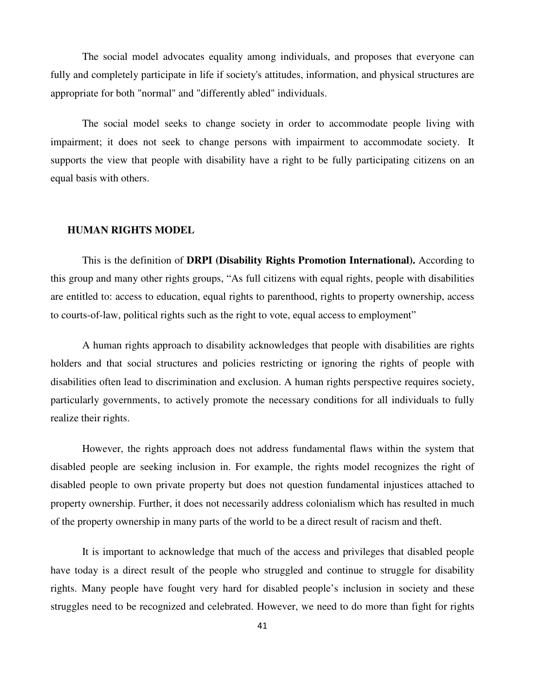The social model advocates equality among individuals, and proposes that everyone can fully and completely participate in life if society's attitudes, information, and physical structures are appropriate for both "normal" and "differently abled" individuals.

 The social model seeks to change society in order to accommodate people living with impairment; it does not seek to change persons with impairment to accommodate society. It supports the view that people with disability have a right to be fully participating citizens on an equal basis with others.

#### **HUMAN RIGHTS MODEL**

 This is the definition of **DRPI (Disability Rights Promotion International).** According to this group and many other rights groups, "As full citizens with equal rights, people with disabilities are entitled to: access to education, equal rights to parenthood, rights to property ownership, access to courts-of-law, political rights such as the right to vote, equal access to employment"

A human rights approach to disability acknowledges that people with disabilities are rights holders and that social structures and policies restricting or ignoring the rights of people with disabilities often lead to discrimination and exclusion. A human rights perspective requires society, particularly governments, to actively promote the necessary conditions for all individuals to fully realize their rights.

 However, the rights approach does not address fundamental flaws within the system that disabled people are seeking inclusion in. For example, the rights model recognizes the right of disabled people to own private property but does not question fundamental injustices attached to property ownership. Further, it does not necessarily address colonialism which has resulted in much of the property ownership in many parts of the world to be a direct result of racism and theft.

 It is important to acknowledge that much of the access and privileges that disabled people have today is a direct result of the people who struggled and continue to struggle for disability rights. Many people have fought very hard for disabled people's inclusion in society and these struggles need to be recognized and celebrated. However, we need to do more than fight for rights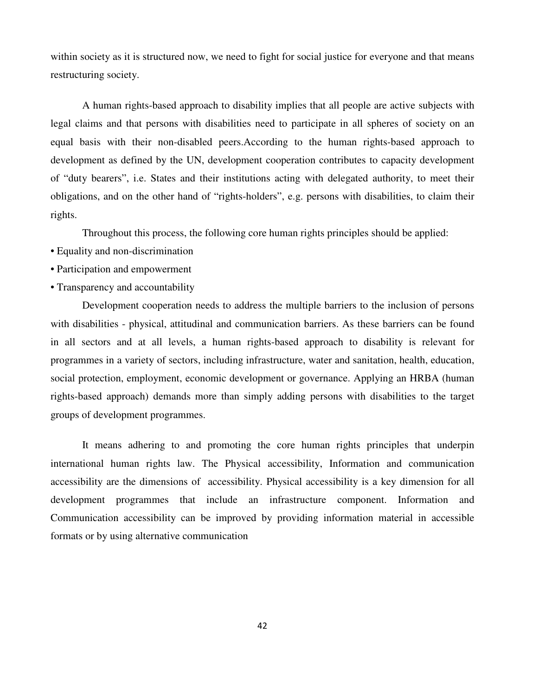within society as it is structured now, we need to fight for social justice for everyone and that means restructuring society.

 A human rights-based approach to disability implies that all people are active subjects with legal claims and that persons with disabilities need to participate in all spheres of society on an equal basis with their non-disabled peers.According to the human rights-based approach to development as defined by the UN, development cooperation contributes to capacity development of "duty bearers", i.e. States and their institutions acting with delegated authority, to meet their obligations, and on the other hand of "rights-holders", e.g. persons with disabilities, to claim their rights.

Throughout this process, the following core human rights principles should be applied:

- Equality and non-discrimination
- Participation and empowerment
- Transparency and accountability

 Development cooperation needs to address the multiple barriers to the inclusion of persons with disabilities - physical, attitudinal and communication barriers. As these barriers can be found in all sectors and at all levels, a human rights-based approach to disability is relevant for programmes in a variety of sectors, including infrastructure, water and sanitation, health, education, social protection, employment, economic development or governance. Applying an HRBA (human rights-based approach) demands more than simply adding persons with disabilities to the target groups of development programmes.

It means adhering to and promoting the core human rights principles that underpin international human rights law. The Physical accessibility, Information and communication accessibility are the dimensions of accessibility. Physical accessibility is a key dimension for all development programmes that include an infrastructure component. Information and Communication accessibility can be improved by providing information material in accessible formats or by using alternative communication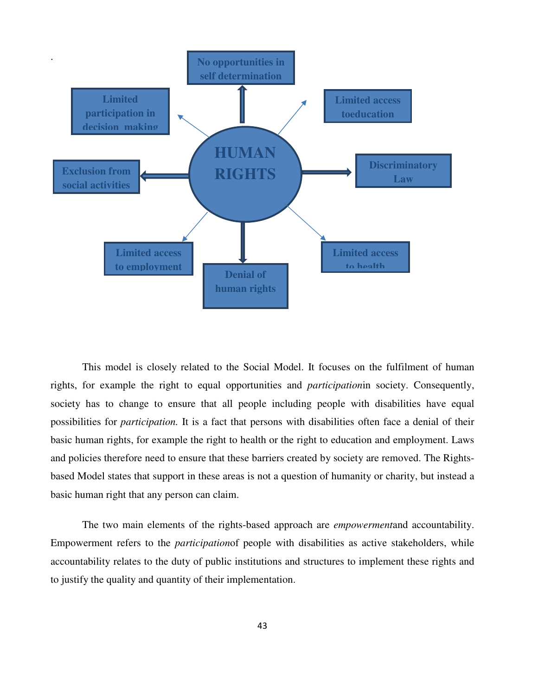

This model is closely related to the Social Model. It focuses on the fulfilment of human rights, for example the right to equal opportunities and *participation*in society. Consequently, society has to change to ensure that all people including people with disabilities have equal possibilities for *participation.* It is a fact that persons with disabilities often face a denial of their basic human rights, for example the right to health or the right to education and employment. Laws and policies therefore need to ensure that these barriers created by society are removed. The Rightsbased Model states that support in these areas is not a question of humanity or charity, but instead a basic human right that any person can claim.

 The two main elements of the rights-based approach are *empowerment*and accountability. Empowerment refers to the *participation*of people with disabilities as active stakeholders, while accountability relates to the duty of public institutions and structures to implement these rights and to justify the quality and quantity of their implementation.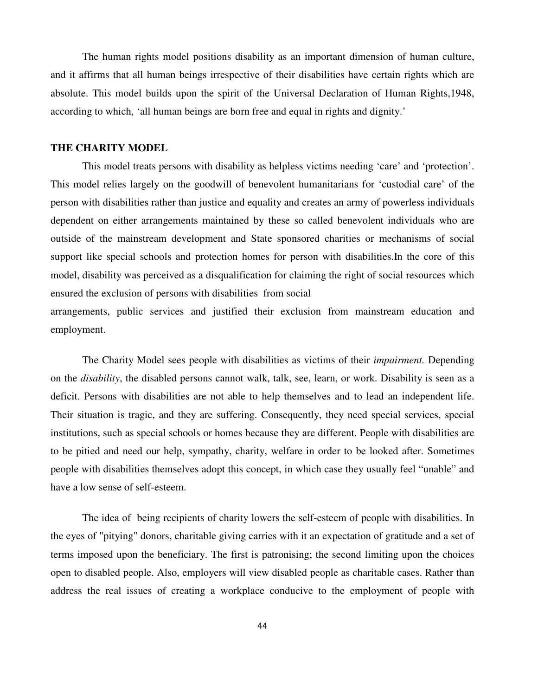The human rights model positions disability as an important dimension of human culture, and it affirms that all human beings irrespective of their disabilities have certain rights which are absolute. This model builds upon the spirit of the Universal Declaration of Human Rights,1948, according to which, 'all human beings are born free and equal in rights and dignity.'

#### **THE CHARITY MODEL**

 This model treats persons with disability as helpless victims needing 'care' and 'protection'. This model relies largely on the goodwill of benevolent humanitarians for 'custodial care' of the person with disabilities rather than justice and equality and creates an army of powerless individuals dependent on either arrangements maintained by these so called benevolent individuals who are outside of the mainstream development and State sponsored charities or mechanisms of social support like special schools and protection homes for person with disabilities.In the core of this model, disability was perceived as a disqualification for claiming the right of social resources which ensured the exclusion of persons with disabilities from social

arrangements, public services and justified their exclusion from mainstream education and employment.

The Charity Model sees people with disabilities as victims of their *impairment.* Depending on the *disability*, the disabled persons cannot walk, talk, see, learn, or work. Disability is seen as a deficit. Persons with disabilities are not able to help themselves and to lead an independent life. Their situation is tragic, and they are suffering. Consequently, they need special services, special institutions, such as special schools or homes because they are different. People with disabilities are to be pitied and need our help, sympathy, charity, welfare in order to be looked after. Sometimes people with disabilities themselves adopt this concept, in which case they usually feel "unable" and have a low sense of self-esteem.

 The idea of being recipients of charity lowers the self-esteem of people with disabilities. In the eyes of "pitying" donors, charitable giving carries with it an expectation of gratitude and a set of terms imposed upon the beneficiary. The first is patronising; the second limiting upon the choices open to disabled people. Also, employers will view disabled people as charitable cases. Rather than address the real issues of creating a workplace conducive to the employment of people with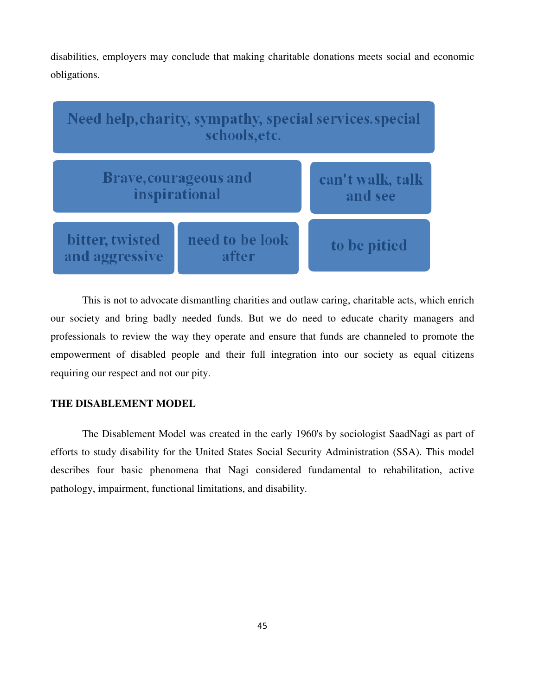disabilities, employers may conclude that making charitable donations meets social and economic obligations.



This is not to advocate dismantling charities and outlaw caring, charitable acts, which enrich our society and bring badly needed funds. But we do need to educate charity managers and professionals to review the way they operate and ensure that funds are channeled to promote the empowerment of disabled people and their full integration into our society as equal citizens requiring our respect and not our pity.

## **THE DISABLEMENT MODEL**

 The Disablement Model was created in the early 1960's by sociologist SaadNagi as part of efforts to study disability for the United States Social Security Administration (SSA). This model describes four basic phenomena that Nagi considered fundamental to rehabilitation, active pathology, impairment, functional limitations, and disability.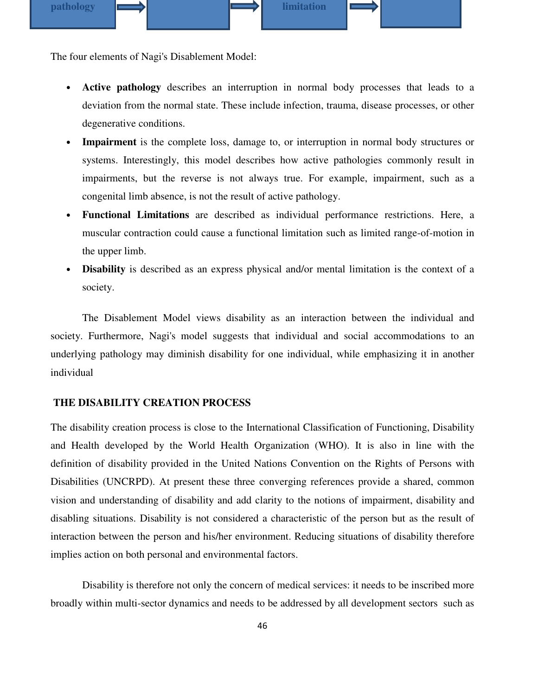

The four elements of Nagi's Disablement Model:

- **Active pathology** describes an interruption in normal body processes that leads to a deviation from the normal state. These include infection, trauma, disease processes, or other degenerative conditions.
- **Impairment** is the complete loss, damage to, or interruption in normal body structures or systems. Interestingly, this model describes how active pathologies commonly result in impairments, but the reverse is not always true. For example, impairment, such as a congenital limb absence, is not the result of active pathology.
- **Functional Limitations** are described as individual performance restrictions. Here, a muscular contraction could cause a functional limitation such as limited range-of-motion in the upper limb.
- **Disability** is described as an express physical and/or mental limitation is the context of a society.

 The Disablement Model views disability as an interaction between the individual and society. Furthermore, Nagi's model suggests that individual and social accommodations to an underlying pathology may diminish disability for one individual, while emphasizing it in another individual

## **THE DISABILITY CREATION PROCESS**

The disability creation process is close to the International Classification of Functioning, Disability and Health developed by the World Health Organization (WHO). It is also in line with the definition of disability provided in the United Nations Convention on the Rights of Persons with Disabilities (UNCRPD). At present these three converging references provide a shared, common vision and understanding of disability and add clarity to the notions of impairment, disability and disabling situations. Disability is not considered a characteristic of the person but as the result of interaction between the person and his/her environment. Reducing situations of disability therefore implies action on both personal and environmental factors.

 Disability is therefore not only the concern of medical services: it needs to be inscribed more broadly within multi-sector dynamics and needs to be addressed by all development sectors such as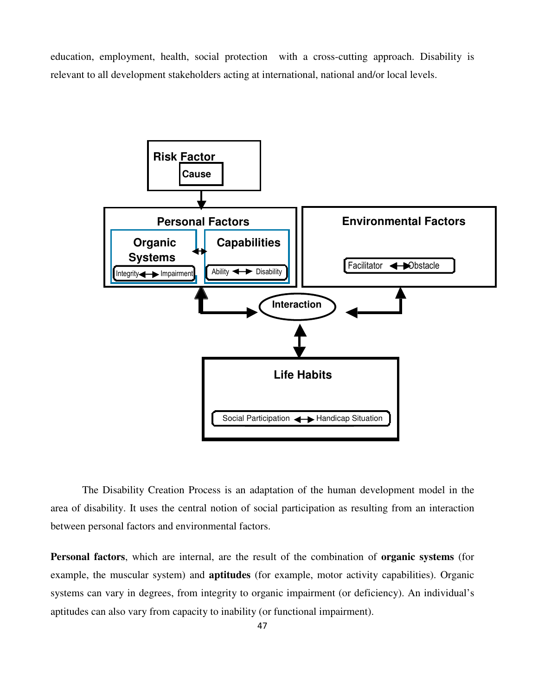education, employment, health, social protection with a cross-cutting approach. Disability is relevant to all development stakeholders acting at international, national and/or local levels.



The Disability Creation Process is an adaptation of the human development model in the area of disability. It uses the central notion of social participation as resulting from an interaction between personal factors and environmental factors.

**Personal factors**, which are internal, are the result of the combination of **organic systems** (for example, the muscular system) and **aptitudes** (for example, motor activity capabilities). Organic systems can vary in degrees, from integrity to organic impairment (or deficiency). An individual's aptitudes can also vary from capacity to inability (or functional impairment).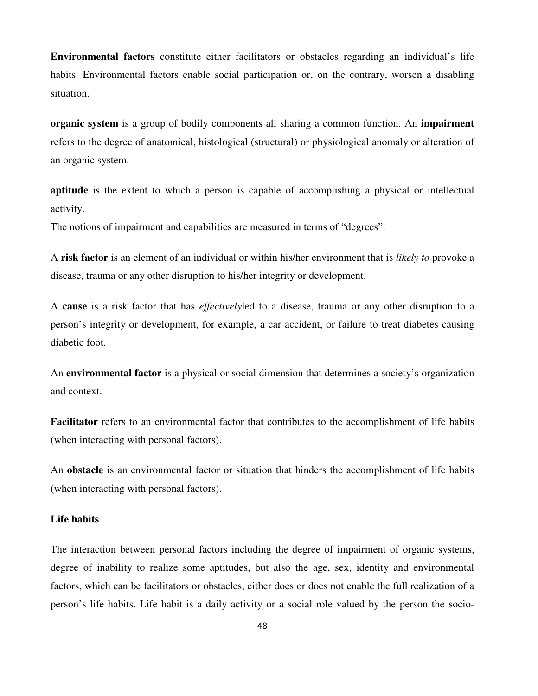**Environmental factors** constitute either facilitators or obstacles regarding an individual's life habits. Environmental factors enable social participation or, on the contrary, worsen a disabling situation.

**organic system** is a group of bodily components all sharing a common function. An **impairment** refers to the degree of anatomical, histological (structural) or physiological anomaly or alteration of an organic system.

**aptitude** is the extent to which a person is capable of accomplishing a physical or intellectual activity.

The notions of impairment and capabilities are measured in terms of "degrees".

A **risk factor** is an element of an individual or within his/her environment that is *likely to* provoke a disease, trauma or any other disruption to his/her integrity or development.

A **cause** is a risk factor that has *effectively*led to a disease, trauma or any other disruption to a person's integrity or development, for example, a car accident, or failure to treat diabetes causing diabetic foot.

An **environmental factor** is a physical or social dimension that determines a society's organization and context.

**Facilitator** refers to an environmental factor that contributes to the accomplishment of life habits (when interacting with personal factors).

An **obstacle** is an environmental factor or situation that hinders the accomplishment of life habits (when interacting with personal factors).

## **Life habits**

The interaction between personal factors including the degree of impairment of organic systems, degree of inability to realize some aptitudes, but also the age, sex, identity and environmental factors, which can be facilitators or obstacles, either does or does not enable the full realization of a person's life habits. Life habit is a daily activity or a social role valued by the person the socio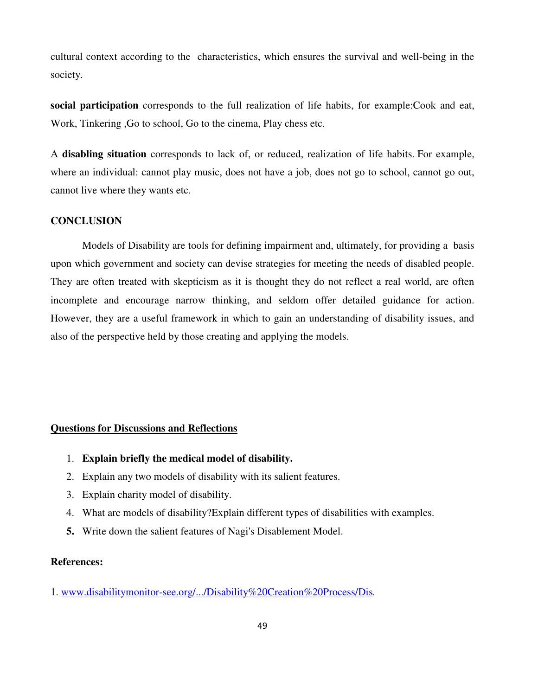cultural context according to the characteristics, which ensures the survival and well-being in the society.

**social participation** corresponds to the full realization of life habits, for example:Cook and eat, Work, Tinkering ,Go to school, Go to the cinema, Play chess etc.

A **disabling situation** corresponds to lack of, or reduced, realization of life habits. For example, where an individual: cannot play music, does not have a job, does not go to school, cannot go out, cannot live where they wants etc.

#### **CONCLUSION**

 Models of Disability are tools for defining impairment and, ultimately, for providing a basis upon which government and society can devise strategies for meeting the needs of disabled people. They are often treated with skepticism as it is thought they do not reflect a real world, are often incomplete and encourage narrow thinking, and seldom offer detailed guidance for action. However, they are a useful framework in which to gain an understanding of disability issues, and also of the perspective held by those creating and applying the models.

#### **Questions for Discussions and Reflections**

- 1. **Explain briefly the medical model of disability.**
- 2. Explain any two models of disability with its salient features.
- 3. Explain charity model of disability.
- 4. What are models of disability?Explain different types of disabilities with examples.
- **5.** Write down the salient features of Nagi's Disablement Model.

## **References:**

1. www.disabilitymonitor-see.org/.../Disability%20Creation%20Process/Dis*.*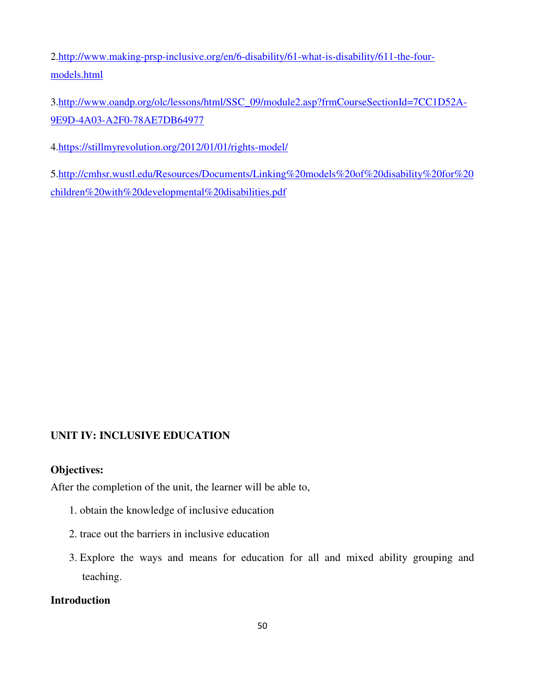2.http://www.making-prsp-inclusive.org/en/6-disability/61-what-is-disability/611-the-fourmodels.html

3.http://www.oandp.org/olc/lessons/html/SSC\_09/module2.asp?frmCourseSectionId=7CC1D52A-9E9D-4A03-A2F0-78AE7DB64977

4.https://stillmyrevolution.org/2012/01/01/rights-model/

5.http://cmhsr.wustl.edu/Resources/Documents/Linking%20models%20of%20disability%20for%20 children%20with%20developmental%20disabilities.pdf

## **UNIT IV: INCLUSIVE EDUCATION**

## **Objectives:**

After the completion of the unit, the learner will be able to,

- 1. obtain the knowledge of inclusive education
- 2. trace out the barriers in inclusive education
- 3. Explore the ways and means for education for all and mixed ability grouping and teaching.

## **Introduction**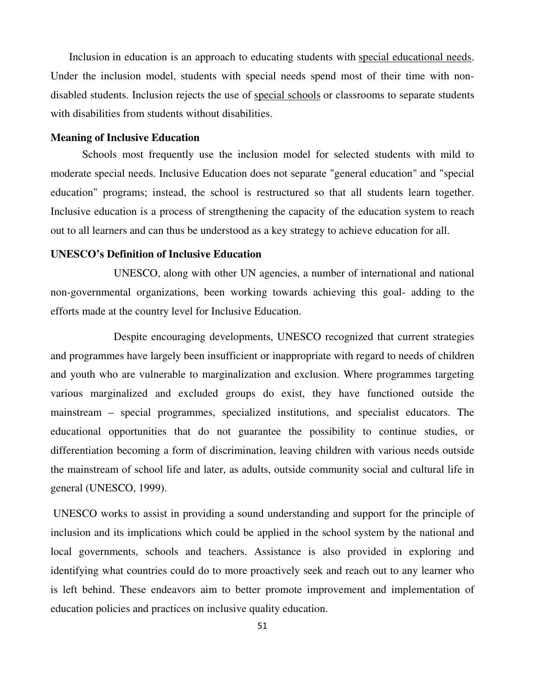Inclusion in education is an approach to educating students with special educational needs. Under the inclusion model, students with special needs spend most of their time with nondisabled students. Inclusion rejects the use of special schools or classrooms to separate students with disabilities from students without disabilities.

#### **Meaning of Inclusive Education**

 Schools most frequently use the inclusion model for selected students with mild to moderate special needs. Inclusive Education does not separate "general education" and "special education" programs; instead, the school is restructured so that all students learn together. Inclusive education is a process of strengthening the capacity of the education system to reach out to all learners and can thus be understood as a key strategy to achieve education for all.

## **UNESCO's Definition of Inclusive Education**

 UNESCO, along with other UN agencies, a number of international and national non-governmental organizations, been working towards achieving this goal- adding to the efforts made at the country level for Inclusive Education.

 Despite encouraging developments, UNESCO recognized that current strategies and programmes have largely been insufficient or inappropriate with regard to needs of children and youth who are vulnerable to marginalization and exclusion. Where programmes targeting various marginalized and excluded groups do exist, they have functioned outside the mainstream – special programmes, specialized institutions, and specialist educators. The educational opportunities that do not guarantee the possibility to continue studies, or differentiation becoming a form of discrimination, leaving children with various needs outside the mainstream of school life and later, as adults, outside community social and cultural life in general (UNESCO, 1999).

 UNESCO works to assist in providing a sound understanding and support for the principle of inclusion and its implications which could be applied in the school system by the national and local governments, schools and teachers. Assistance is also provided in exploring and identifying what countries could do to more proactively seek and reach out to any learner who is left behind. These endeavors aim to better promote improvement and implementation of education policies and practices on inclusive quality education.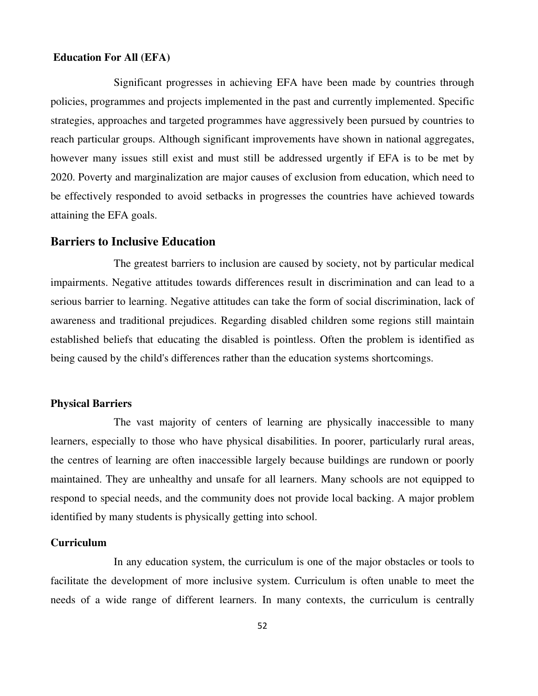## **Education For All (EFA)**

 Significant progresses in achieving EFA have been made by countries through policies, programmes and projects implemented in the past and currently implemented. Specific strategies, approaches and targeted programmes have aggressively been pursued by countries to reach particular groups. Although significant improvements have shown in national aggregates, however many issues still exist and must still be addressed urgently if EFA is to be met by 2020. Poverty and marginalization are major causes of exclusion from education, which need to be effectively responded to avoid setbacks in progresses the countries have achieved towards attaining the EFA goals.

## **Barriers to Inclusive Education**

 The greatest barriers to inclusion are caused by society, not by particular medical impairments. Negative attitudes towards differences result in discrimination and can lead to a serious barrier to learning. Negative attitudes can take the form of social discrimination, lack of awareness and traditional prejudices. Regarding disabled children some regions still maintain established beliefs that educating the disabled is pointless. Often the problem is identified as being caused by the child's differences rather than the education systems shortcomings.

## **Physical Barriers**

 The vast majority of centers of learning are physically inaccessible to many learners, especially to those who have physical disabilities. In poorer, particularly rural areas, the centres of learning are often inaccessible largely because buildings are rundown or poorly maintained. They are unhealthy and unsafe for all learners. Many schools are not equipped to respond to special needs, and the community does not provide local backing. A major problem identified by many students is physically getting into school.

## **Curriculum**

 In any education system, the curriculum is one of the major obstacles or tools to facilitate the development of more inclusive system. Curriculum is often unable to meet the needs of a wide range of different learners. In many contexts, the curriculum is centrally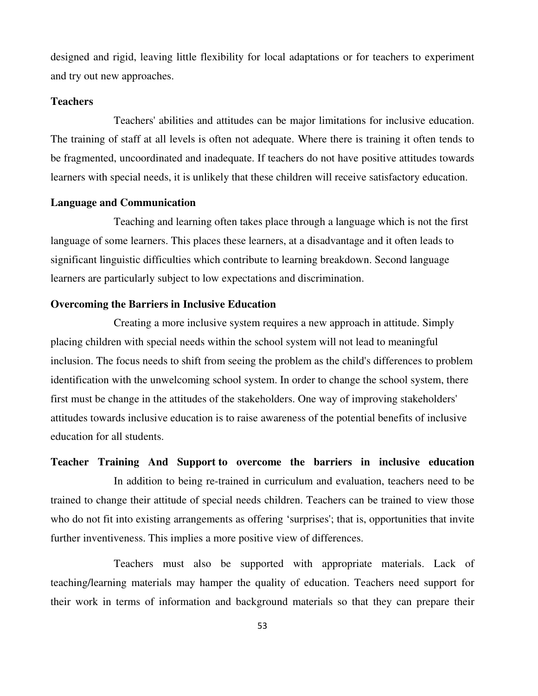designed and rigid, leaving little flexibility for local adaptations or for teachers to experiment and try out new approaches.

## **Teachers**

 Teachers' abilities and attitudes can be major limitations for inclusive education. The training of staff at all levels is often not adequate. Where there is training it often tends to be fragmented, uncoordinated and inadequate. If teachers do not have positive attitudes towards learners with special needs, it is unlikely that these children will receive satisfactory education.

## **Language and Communication**

 Teaching and learning often takes place through a language which is not the first language of some learners. This places these learners, at a disadvantage and it often leads to significant linguistic difficulties which contribute to learning breakdown. Second language learners are particularly subject to low expectations and discrimination.

## **Overcoming the Barriers in Inclusive Education**

Creating a more inclusive system requires a new approach in attitude. Simply placing children with special needs within the school system will not lead to meaningful inclusion. The focus needs to shift from seeing the problem as the child's differences to problem identification with the unwelcoming school system. In order to change the school system, there first must be change in the attitudes of the stakeholders. One way of improving stakeholders' attitudes towards inclusive education is to raise awareness of the potential benefits of inclusive education for all students.

**Teacher Training And Support to overcome the barriers in inclusive education** In addition to being re-trained in curriculum and evaluation, teachers need to be trained to change their attitude of special needs children. Teachers can be trained to view those who do not fit into existing arrangements as offering 'surprises'; that is, opportunities that invite further inventiveness. This implies a more positive view of differences.

 Teachers must also be supported with appropriate materials. Lack of teaching/learning materials may hamper the quality of education. Teachers need support for their work in terms of information and background materials so that they can prepare their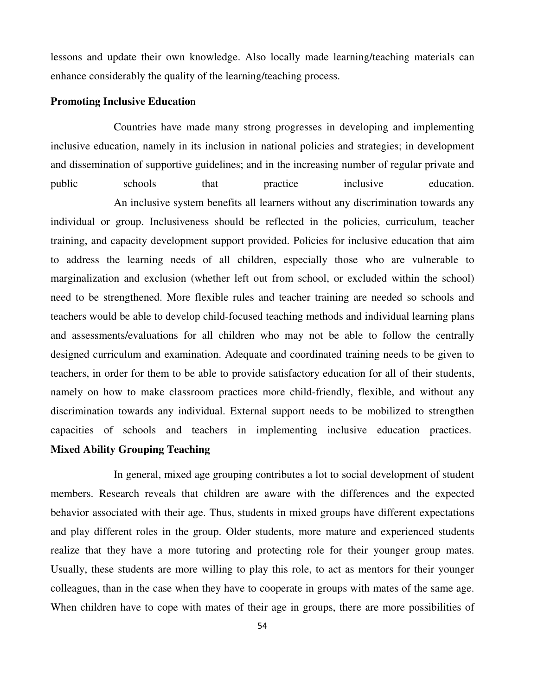lessons and update their own knowledge. Also locally made learning/teaching materials can enhance considerably the quality of the learning/teaching process.

## **Promoting Inclusive Educatio**n

 Countries have made many strong progresses in developing and implementing inclusive education, namely in its inclusion in national policies and strategies; in development and dissemination of supportive guidelines; and in the increasing number of regular private and public schools that practice inclusive education. An inclusive system benefits all learners without any discrimination towards any individual or group. Inclusiveness should be reflected in the policies, curriculum, teacher training, and capacity development support provided. Policies for inclusive education that aim to address the learning needs of all children, especially those who are vulnerable to marginalization and exclusion (whether left out from school, or excluded within the school) need to be strengthened. More flexible rules and teacher training are needed so schools and teachers would be able to develop child-focused teaching methods and individual learning plans and assessments/evaluations for all children who may not be able to follow the centrally designed curriculum and examination. Adequate and coordinated training needs to be given to teachers, in order for them to be able to provide satisfactory education for all of their students, namely on how to make classroom practices more child-friendly, flexible, and without any discrimination towards any individual. External support needs to be mobilized to strengthen capacities of schools and teachers in implementing inclusive education practices. **Mixed Ability Grouping Teaching**

 In general, mixed age grouping contributes a lot to social development of student members. Research reveals that children are aware with the differences and the expected behavior associated with their age. Thus, students in mixed groups have different expectations and play different roles in the group. Older students, more mature and experienced students realize that they have a more tutoring and protecting role for their younger group mates. Usually, these students are more willing to play this role, to act as mentors for their younger colleagues, than in the case when they have to cooperate in groups with mates of the same age. When children have to cope with mates of their age in groups, there are more possibilities of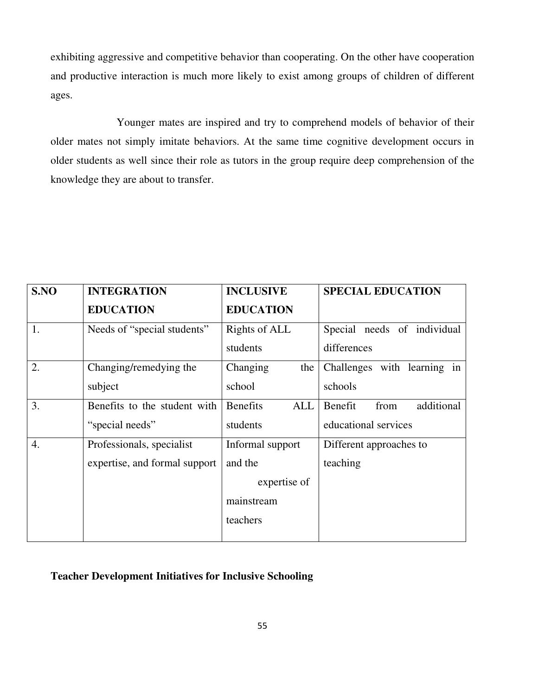exhibiting aggressive and competitive behavior than cooperating. On the other have cooperation and productive interaction is much more likely to exist among groups of children of different ages.

 Younger mates are inspired and try to comprehend models of behavior of their older mates not simply imitate behaviors. At the same time cognitive development occurs in older students as well since their role as tutors in the group require deep comprehension of the knowledge they are about to transfer.

| S.NO             | <b>INTEGRATION</b>            | <b>INCLUSIVE</b>       | <b>SPECIAL EDUCATION</b>      |
|------------------|-------------------------------|------------------------|-------------------------------|
|                  | <b>EDUCATION</b>              | <b>EDUCATION</b>       |                               |
| 1.               | Needs of "special students"   | Rights of ALL          | Special needs of individual   |
|                  |                               | students               | differences                   |
| 2.               | Changing/remedying the        | Changing<br>the        | Challenges with learning in   |
|                  | subject                       | school                 | schools                       |
| 3.               | Benefits to the student with  | <b>Benefits</b><br>ALL | additional<br>Benefit<br>from |
|                  | "special needs"               | students               | educational services          |
| $\overline{4}$ . | Professionals, specialist     | Informal support       | Different approaches to       |
|                  | expertise, and formal support | and the                | teaching                      |
|                  |                               | expertise of           |                               |
|                  |                               | mainstream             |                               |
|                  |                               | teachers               |                               |
|                  |                               |                        |                               |

## **Teacher Development Initiatives for Inclusive Schooling**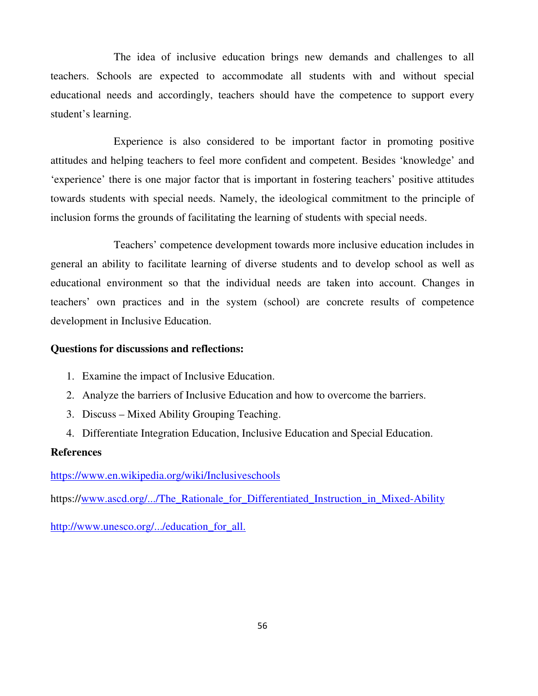The idea of inclusive education brings new demands and challenges to all teachers. Schools are expected to accommodate all students with and without special educational needs and accordingly, teachers should have the competence to support every student's learning.

 Experience is also considered to be important factor in promoting positive attitudes and helping teachers to feel more confident and competent. Besides 'knowledge' and 'experience' there is one major factor that is important in fostering teachers' positive attitudes towards students with special needs. Namely, the ideological commitment to the principle of inclusion forms the grounds of facilitating the learning of students with special needs.

 Teachers' competence development towards more inclusive education includes in general an ability to facilitate learning of diverse students and to develop school as well as educational environment so that the individual needs are taken into account. Changes in teachers' own practices and in the system (school) are concrete results of competence development in Inclusive Education.

## **Questions for discussions and reflections:**

- 1. Examine the impact of Inclusive Education.
- 2. Analyze the barriers of Inclusive Education and how to overcome the barriers.
- 3. Discuss Mixed Ability Grouping Teaching.
- 4. Differentiate Integration Education, Inclusive Education and Special Education.

## **References**

https://www.en.wikipedia.org/wiki/Inclusiveschools

https://www.ascd.org/.../The\_Rationale\_for\_Differentiated\_Instruction\_in\_Mixed-Ability

http://www.unesco.org/.../education\_for\_all.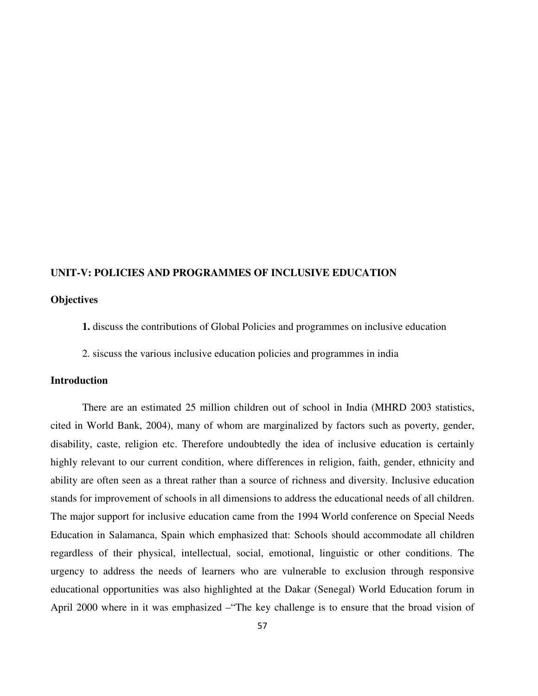#### **UNIT-V: POLICIES AND PROGRAMMES OF INCLUSIVE EDUCATION**

## **Objectives**

- **1.** discuss the contributions of Global Policies and programmes on inclusive education
- 2. siscuss the various inclusive education policies and programmes in india

#### **Introduction**

There are an estimated 25 million children out of school in India (MHRD 2003 statistics, cited in World Bank, 2004), many of whom are marginalized by factors such as poverty, gender, disability, caste, religion etc. Therefore undoubtedly the idea of inclusive education is certainly highly relevant to our current condition, where differences in religion, faith, gender, ethnicity and ability are often seen as a threat rather than a source of richness and diversity. Inclusive education stands for improvement of schools in all dimensions to address the educational needs of all children. The major support for inclusive education came from the 1994 World conference on Special Needs Education in Salamanca, Spain which emphasized that: Schools should accommodate all children regardless of their physical, intellectual, social, emotional, linguistic or other conditions. The urgency to address the needs of learners who are vulnerable to exclusion through responsive educational opportunities was also highlighted at the Dakar (Senegal) World Education forum in April 2000 where in it was emphasized –"The key challenge is to ensure that the broad vision of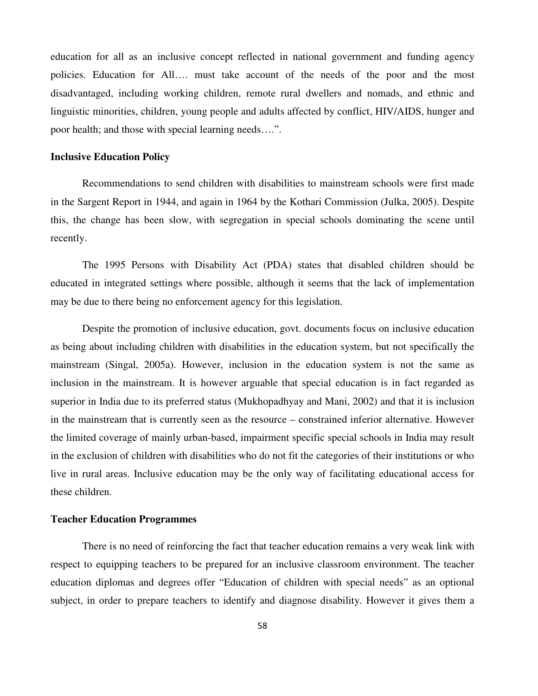education for all as an inclusive concept reflected in national government and funding agency policies. Education for All…. must take account of the needs of the poor and the most disadvantaged, including working children, remote rural dwellers and nomads, and ethnic and linguistic minorities, children, young people and adults affected by conflict, HIV/AIDS, hunger and poor health; and those with special learning needs….".

#### **Inclusive Education Policy**

Recommendations to send children with disabilities to mainstream schools were first made in the Sargent Report in 1944, and again in 1964 by the Kothari Commission (Julka, 2005). Despite this, the change has been slow, with segregation in special schools dominating the scene until recently.

The 1995 Persons with Disability Act (PDA) states that disabled children should be educated in integrated settings where possible, although it seems that the lack of implementation may be due to there being no enforcement agency for this legislation.

Despite the promotion of inclusive education, govt. documents focus on inclusive education as being about including children with disabilities in the education system, but not specifically the mainstream (Singal, 2005a). However, inclusion in the education system is not the same as inclusion in the mainstream. It is however arguable that special education is in fact regarded as superior in India due to its preferred status (Mukhopadhyay and Mani, 2002) and that it is inclusion in the mainstream that is currently seen as the resource – constrained inferior alternative. However the limited coverage of mainly urban-based, impairment specific special schools in India may result in the exclusion of children with disabilities who do not fit the categories of their institutions or who live in rural areas. Inclusive education may be the only way of facilitating educational access for these children.

#### **Teacher Education Programmes**

There is no need of reinforcing the fact that teacher education remains a very weak link with respect to equipping teachers to be prepared for an inclusive classroom environment. The teacher education diplomas and degrees offer "Education of children with special needs" as an optional subject, in order to prepare teachers to identify and diagnose disability. However it gives them a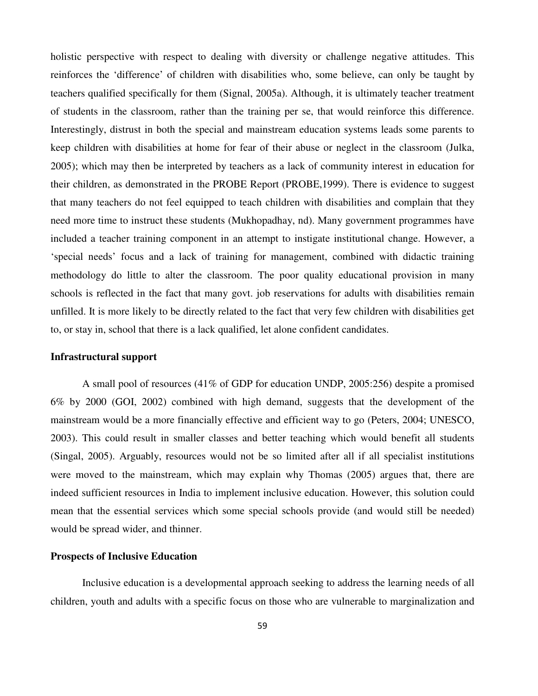holistic perspective with respect to dealing with diversity or challenge negative attitudes. This reinforces the 'difference' of children with disabilities who, some believe, can only be taught by teachers qualified specifically for them (Signal, 2005a). Although, it is ultimately teacher treatment of students in the classroom, rather than the training per se, that would reinforce this difference. Interestingly, distrust in both the special and mainstream education systems leads some parents to keep children with disabilities at home for fear of their abuse or neglect in the classroom (Julka, 2005); which may then be interpreted by teachers as a lack of community interest in education for their children, as demonstrated in the PROBE Report (PROBE,1999). There is evidence to suggest that many teachers do not feel equipped to teach children with disabilities and complain that they need more time to instruct these students (Mukhopadhay, nd). Many government programmes have included a teacher training component in an attempt to instigate institutional change. However, a 'special needs' focus and a lack of training for management, combined with didactic training methodology do little to alter the classroom. The poor quality educational provision in many schools is reflected in the fact that many govt. job reservations for adults with disabilities remain unfilled. It is more likely to be directly related to the fact that very few children with disabilities get to, or stay in, school that there is a lack qualified, let alone confident candidates.

#### **Infrastructural support**

A small pool of resources (41% of GDP for education UNDP, 2005:256) despite a promised 6% by 2000 (GOI, 2002) combined with high demand, suggests that the development of the mainstream would be a more financially effective and efficient way to go (Peters, 2004; UNESCO, 2003). This could result in smaller classes and better teaching which would benefit all students (Singal, 2005). Arguably, resources would not be so limited after all if all specialist institutions were moved to the mainstream, which may explain why Thomas (2005) argues that, there are indeed sufficient resources in India to implement inclusive education. However, this solution could mean that the essential services which some special schools provide (and would still be needed) would be spread wider, and thinner.

## **Prospects of Inclusive Education**

Inclusive education is a developmental approach seeking to address the learning needs of all children, youth and adults with a specific focus on those who are vulnerable to marginalization and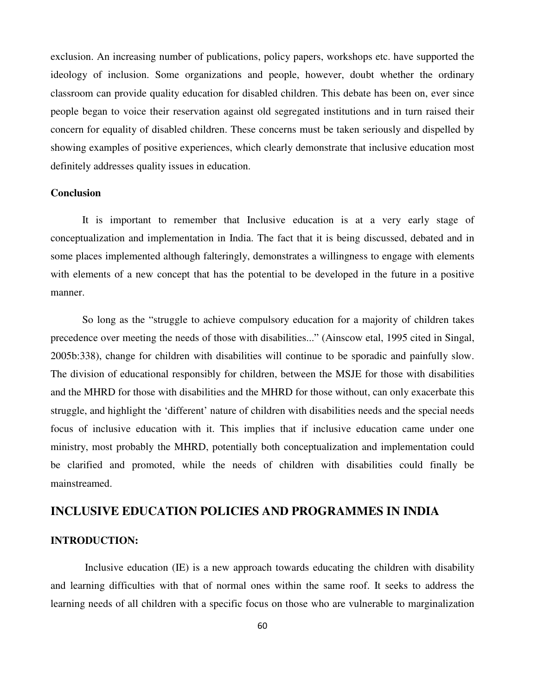exclusion. An increasing number of publications, policy papers, workshops etc. have supported the ideology of inclusion. Some organizations and people, however, doubt whether the ordinary classroom can provide quality education for disabled children. This debate has been on, ever since people began to voice their reservation against old segregated institutions and in turn raised their concern for equality of disabled children. These concerns must be taken seriously and dispelled by showing examples of positive experiences, which clearly demonstrate that inclusive education most definitely addresses quality issues in education.

#### **Conclusion**

It is important to remember that Inclusive education is at a very early stage of conceptualization and implementation in India. The fact that it is being discussed, debated and in some places implemented although falteringly, demonstrates a willingness to engage with elements with elements of a new concept that has the potential to be developed in the future in a positive manner.

 So long as the "struggle to achieve compulsory education for a majority of children takes precedence over meeting the needs of those with disabilities..." (Ainscow etal, 1995 cited in Singal, 2005b:338), change for children with disabilities will continue to be sporadic and painfully slow. The division of educational responsibly for children, between the MSJE for those with disabilities and the MHRD for those with disabilities and the MHRD for those without, can only exacerbate this struggle, and highlight the 'different' nature of children with disabilities needs and the special needs focus of inclusive education with it. This implies that if inclusive education came under one ministry, most probably the MHRD, potentially both conceptualization and implementation could be clarified and promoted, while the needs of children with disabilities could finally be mainstreamed.

## **INCLUSIVE EDUCATION POLICIES AND PROGRAMMES IN INDIA**

#### **INTRODUCTION:**

 Inclusive education (IE) is a new approach towards educating the children with disability and learning difficulties with that of normal ones within the same roof. It seeks to address the learning needs of all children with a specific focus on those who are vulnerable to marginalization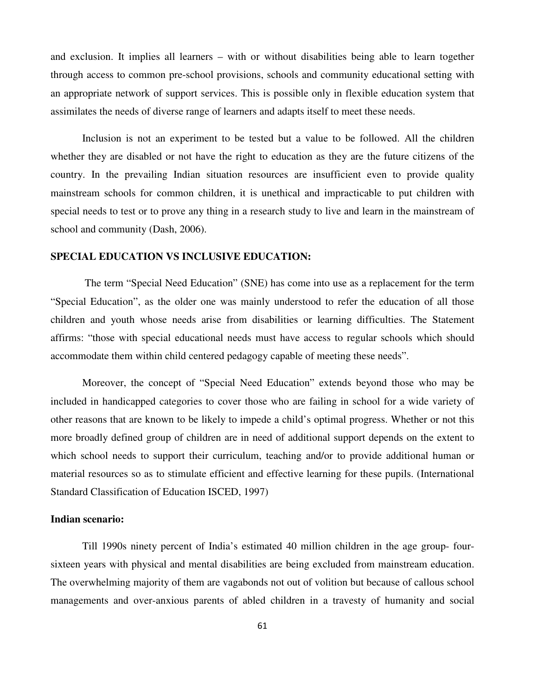and exclusion. It implies all learners – with or without disabilities being able to learn together through access to common pre-school provisions, schools and community educational setting with an appropriate network of support services. This is possible only in flexible education system that assimilates the needs of diverse range of learners and adapts itself to meet these needs.

Inclusion is not an experiment to be tested but a value to be followed. All the children whether they are disabled or not have the right to education as they are the future citizens of the country. In the prevailing Indian situation resources are insufficient even to provide quality mainstream schools for common children, it is unethical and impracticable to put children with special needs to test or to prove any thing in a research study to live and learn in the mainstream of school and community (Dash, 2006).

## **SPECIAL EDUCATION VS INCLUSIVE EDUCATION:**

 The term "Special Need Education" (SNE) has come into use as a replacement for the term "Special Education", as the older one was mainly understood to refer the education of all those children and youth whose needs arise from disabilities or learning difficulties. The Statement affirms: "those with special educational needs must have access to regular schools which should accommodate them within child centered pedagogy capable of meeting these needs".

Moreover, the concept of "Special Need Education" extends beyond those who may be included in handicapped categories to cover those who are failing in school for a wide variety of other reasons that are known to be likely to impede a child's optimal progress. Whether or not this more broadly defined group of children are in need of additional support depends on the extent to which school needs to support their curriculum, teaching and/or to provide additional human or material resources so as to stimulate efficient and effective learning for these pupils. (International Standard Classification of Education ISCED, 1997)

#### **Indian scenario:**

 Till 1990s ninety percent of India's estimated 40 million children in the age group- foursixteen years with physical and mental disabilities are being excluded from mainstream education. The overwhelming majority of them are vagabonds not out of volition but because of callous school managements and over-anxious parents of abled children in a travesty of humanity and social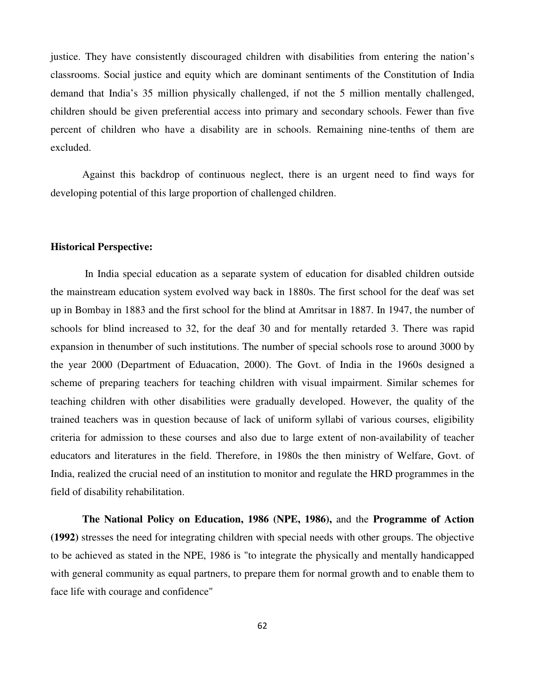justice. They have consistently discouraged children with disabilities from entering the nation's classrooms. Social justice and equity which are dominant sentiments of the Constitution of India demand that India's 35 million physically challenged, if not the 5 million mentally challenged, children should be given preferential access into primary and secondary schools. Fewer than five percent of children who have a disability are in schools. Remaining nine-tenths of them are excluded.

Against this backdrop of continuous neglect, there is an urgent need to find ways for developing potential of this large proportion of challenged children.

## **Historical Perspective:**

 In India special education as a separate system of education for disabled children outside the mainstream education system evolved way back in 1880s. The first school for the deaf was set up in Bombay in 1883 and the first school for the blind at Amritsar in 1887. In 1947, the number of schools for blind increased to 32, for the deaf 30 and for mentally retarded 3. There was rapid expansion in thenumber of such institutions. The number of special schools rose to around 3000 by the year 2000 (Department of Eduacation, 2000). The Govt. of India in the 1960s designed a scheme of preparing teachers for teaching children with visual impairment. Similar schemes for teaching children with other disabilities were gradually developed. However, the quality of the trained teachers was in question because of lack of uniform syllabi of various courses, eligibility criteria for admission to these courses and also due to large extent of non-availability of teacher educators and literatures in the field. Therefore, in 1980s the then ministry of Welfare, Govt. of India, realized the crucial need of an institution to monitor and regulate the HRD programmes in the field of disability rehabilitation.

**The National Policy on Education, 1986 (NPE, 1986),** and the **Programme of Action (1992)** stresses the need for integrating children with special needs with other groups. The objective to be achieved as stated in the NPE, 1986 is "to integrate the physically and mentally handicapped with general community as equal partners, to prepare them for normal growth and to enable them to face life with courage and confidence"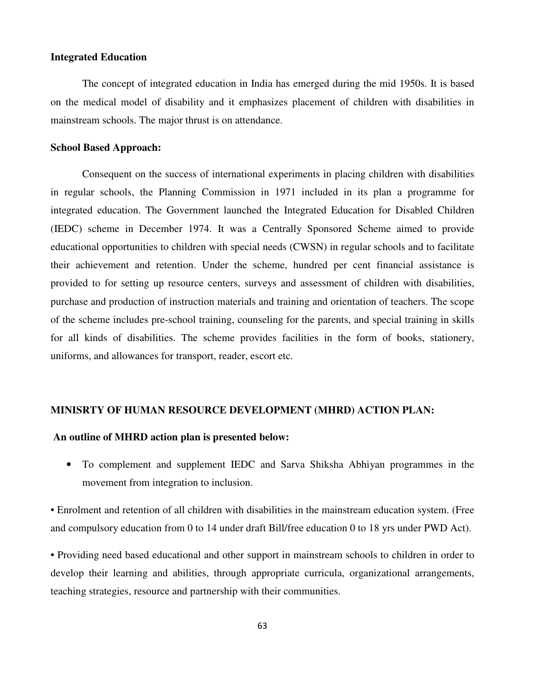#### **Integrated Education**

The concept of integrated education in India has emerged during the mid 1950s. It is based on the medical model of disability and it emphasizes placement of children with disabilities in mainstream schools. The major thrust is on attendance.

#### **School Based Approach:**

Consequent on the success of international experiments in placing children with disabilities in regular schools, the Planning Commission in 1971 included in its plan a programme for integrated education. The Government launched the Integrated Education for Disabled Children (IEDC) scheme in December 1974. It was a Centrally Sponsored Scheme aimed to provide educational opportunities to children with special needs (CWSN) in regular schools and to facilitate their achievement and retention. Under the scheme, hundred per cent financial assistance is provided to for setting up resource centers, surveys and assessment of children with disabilities, purchase and production of instruction materials and training and orientation of teachers. The scope of the scheme includes pre-school training, counseling for the parents, and special training in skills for all kinds of disabilities. The scheme provides facilities in the form of books, stationery, uniforms, and allowances for transport, reader, escort etc.

#### **MINISRTY OF HUMAN RESOURCE DEVELOPMENT (MHRD) ACTION PLAN:**

## **An outline of MHRD action plan is presented below:**

• To complement and supplement IEDC and Sarva Shiksha Abhiyan programmes in the movement from integration to inclusion.

• Enrolment and retention of all children with disabilities in the mainstream education system. (Free and compulsory education from 0 to 14 under draft Bill/free education 0 to 18 yrs under PWD Act).

• Providing need based educational and other support in mainstream schools to children in order to develop their learning and abilities, through appropriate curricula, organizational arrangements, teaching strategies, resource and partnership with their communities.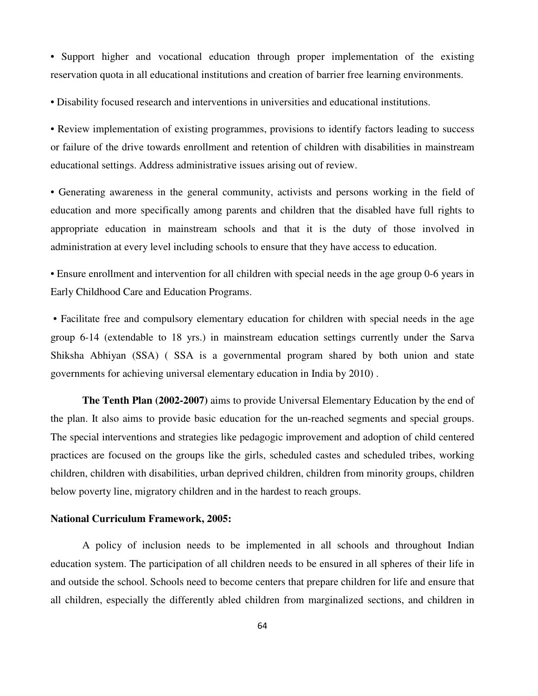• Support higher and vocational education through proper implementation of the existing reservation quota in all educational institutions and creation of barrier free learning environments.

• Disability focused research and interventions in universities and educational institutions.

• Review implementation of existing programmes, provisions to identify factors leading to success or failure of the drive towards enrollment and retention of children with disabilities in mainstream educational settings. Address administrative issues arising out of review.

• Generating awareness in the general community, activists and persons working in the field of education and more specifically among parents and children that the disabled have full rights to appropriate education in mainstream schools and that it is the duty of those involved in administration at every level including schools to ensure that they have access to education.

• Ensure enrollment and intervention for all children with special needs in the age group 0-6 years in Early Childhood Care and Education Programs.

 • Facilitate free and compulsory elementary education for children with special needs in the age group 6-14 (extendable to 18 yrs.) in mainstream education settings currently under the Sarva Shiksha Abhiyan (SSA) ( SSA is a governmental program shared by both union and state governments for achieving universal elementary education in India by 2010) .

**The Tenth Plan (2002-2007)** aims to provide Universal Elementary Education by the end of the plan. It also aims to provide basic education for the un-reached segments and special groups. The special interventions and strategies like pedagogic improvement and adoption of child centered practices are focused on the groups like the girls, scheduled castes and scheduled tribes, working children, children with disabilities, urban deprived children, children from minority groups, children below poverty line, migratory children and in the hardest to reach groups.

#### **National Curriculum Framework, 2005:**

A policy of inclusion needs to be implemented in all schools and throughout Indian education system. The participation of all children needs to be ensured in all spheres of their life in and outside the school. Schools need to become centers that prepare children for life and ensure that all children, especially the differently abled children from marginalized sections, and children in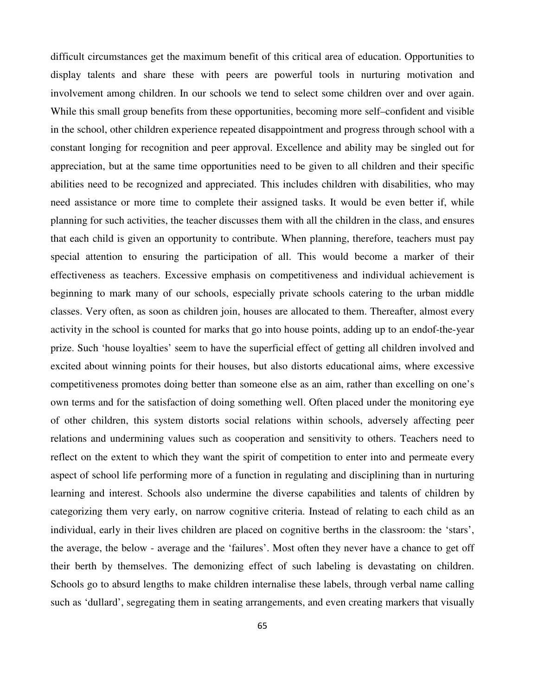difficult circumstances get the maximum benefit of this critical area of education. Opportunities to display talents and share these with peers are powerful tools in nurturing motivation and involvement among children. In our schools we tend to select some children over and over again. While this small group benefits from these opportunities, becoming more self–confident and visible in the school, other children experience repeated disappointment and progress through school with a constant longing for recognition and peer approval. Excellence and ability may be singled out for appreciation, but at the same time opportunities need to be given to all children and their specific abilities need to be recognized and appreciated. This includes children with disabilities, who may need assistance or more time to complete their assigned tasks. It would be even better if, while planning for such activities, the teacher discusses them with all the children in the class, and ensures that each child is given an opportunity to contribute. When planning, therefore, teachers must pay special attention to ensuring the participation of all. This would become a marker of their effectiveness as teachers. Excessive emphasis on competitiveness and individual achievement is beginning to mark many of our schools, especially private schools catering to the urban middle classes. Very often, as soon as children join, houses are allocated to them. Thereafter, almost every activity in the school is counted for marks that go into house points, adding up to an endof-the-year prize. Such 'house loyalties' seem to have the superficial effect of getting all children involved and excited about winning points for their houses, but also distorts educational aims, where excessive competitiveness promotes doing better than someone else as an aim, rather than excelling on one's own terms and for the satisfaction of doing something well. Often placed under the monitoring eye of other children, this system distorts social relations within schools, adversely affecting peer relations and undermining values such as cooperation and sensitivity to others. Teachers need to reflect on the extent to which they want the spirit of competition to enter into and permeate every aspect of school life performing more of a function in regulating and disciplining than in nurturing learning and interest. Schools also undermine the diverse capabilities and talents of children by categorizing them very early, on narrow cognitive criteria. Instead of relating to each child as an individual, early in their lives children are placed on cognitive berths in the classroom: the 'stars', the average, the below - average and the 'failures'. Most often they never have a chance to get off their berth by themselves. The demonizing effect of such labeling is devastating on children. Schools go to absurd lengths to make children internalise these labels, through verbal name calling such as 'dullard', segregating them in seating arrangements, and even creating markers that visually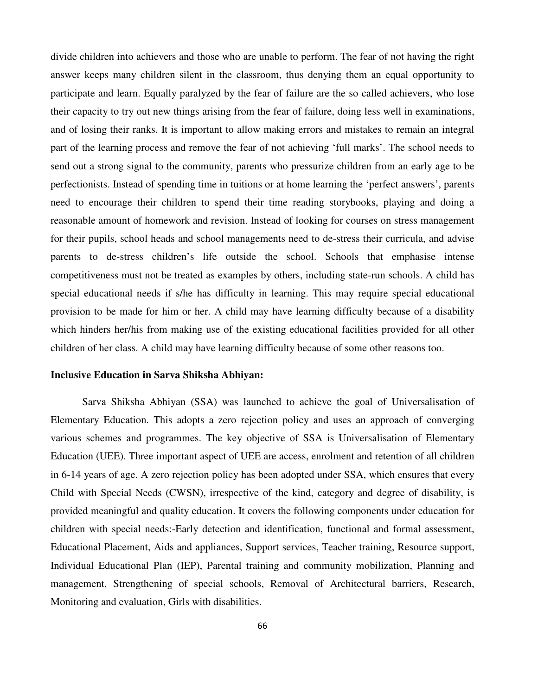divide children into achievers and those who are unable to perform. The fear of not having the right answer keeps many children silent in the classroom, thus denying them an equal opportunity to participate and learn. Equally paralyzed by the fear of failure are the so called achievers, who lose their capacity to try out new things arising from the fear of failure, doing less well in examinations, and of losing their ranks. It is important to allow making errors and mistakes to remain an integral part of the learning process and remove the fear of not achieving 'full marks'. The school needs to send out a strong signal to the community, parents who pressurize children from an early age to be perfectionists. Instead of spending time in tuitions or at home learning the 'perfect answers', parents need to encourage their children to spend their time reading storybooks, playing and doing a reasonable amount of homework and revision. Instead of looking for courses on stress management for their pupils, school heads and school managements need to de-stress their curricula, and advise parents to de-stress children's life outside the school. Schools that emphasise intense competitiveness must not be treated as examples by others, including state-run schools. A child has special educational needs if s/he has difficulty in learning. This may require special educational provision to be made for him or her. A child may have learning difficulty because of a disability which hinders her/his from making use of the existing educational facilities provided for all other children of her class. A child may have learning difficulty because of some other reasons too.

#### **Inclusive Education in Sarva Shiksha Abhiyan:**

Sarva Shiksha Abhiyan (SSA) was launched to achieve the goal of Universalisation of Elementary Education. This adopts a zero rejection policy and uses an approach of converging various schemes and programmes. The key objective of SSA is Universalisation of Elementary Education (UEE). Three important aspect of UEE are access, enrolment and retention of all children in 6-14 years of age. A zero rejection policy has been adopted under SSA, which ensures that every Child with Special Needs (CWSN), irrespective of the kind, category and degree of disability, is provided meaningful and quality education. It covers the following components under education for children with special needs:-Early detection and identification, functional and formal assessment, Educational Placement, Aids and appliances, Support services, Teacher training, Resource support, Individual Educational Plan (IEP), Parental training and community mobilization, Planning and management, Strengthening of special schools, Removal of Architectural barriers, Research, Monitoring and evaluation, Girls with disabilities.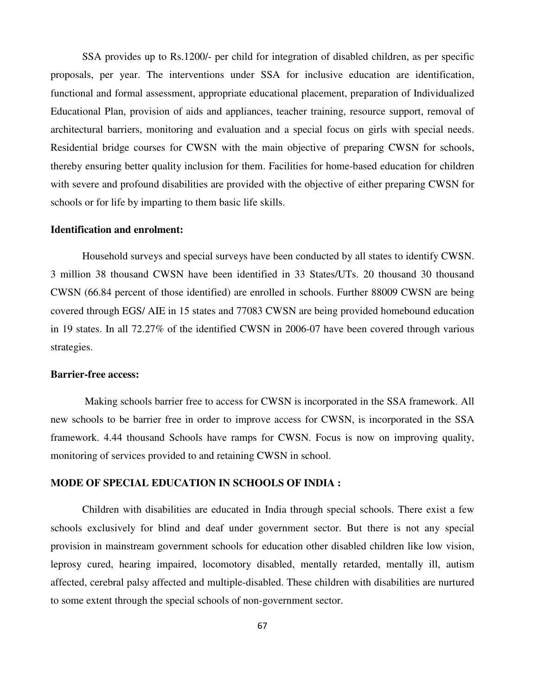SSA provides up to Rs.1200/- per child for integration of disabled children, as per specific proposals, per year. The interventions under SSA for inclusive education are identification, functional and formal assessment, appropriate educational placement, preparation of Individualized Educational Plan, provision of aids and appliances, teacher training, resource support, removal of architectural barriers, monitoring and evaluation and a special focus on girls with special needs. Residential bridge courses for CWSN with the main objective of preparing CWSN for schools, thereby ensuring better quality inclusion for them. Facilities for home-based education for children with severe and profound disabilities are provided with the objective of either preparing CWSN for schools or for life by imparting to them basic life skills.

## **Identification and enrolment:**

Household surveys and special surveys have been conducted by all states to identify CWSN. 3 million 38 thousand CWSN have been identified in 33 States/UTs. 20 thousand 30 thousand CWSN (66.84 percent of those identified) are enrolled in schools. Further 88009 CWSN are being covered through EGS/ AIE in 15 states and 77083 CWSN are being provided homebound education in 19 states. In all 72.27% of the identified CWSN in 2006-07 have been covered through various strategies.

#### **Barrier-free access:**

 Making schools barrier free to access for CWSN is incorporated in the SSA framework. All new schools to be barrier free in order to improve access for CWSN, is incorporated in the SSA framework. 4.44 thousand Schools have ramps for CWSN. Focus is now on improving quality, monitoring of services provided to and retaining CWSN in school.

#### **MODE OF SPECIAL EDUCATION IN SCHOOLS OF INDIA :**

Children with disabilities are educated in India through special schools. There exist a few schools exclusively for blind and deaf under government sector. But there is not any special provision in mainstream government schools for education other disabled children like low vision, leprosy cured, hearing impaired, locomotory disabled, mentally retarded, mentally ill, autism affected, cerebral palsy affected and multiple-disabled. These children with disabilities are nurtured to some extent through the special schools of non-government sector.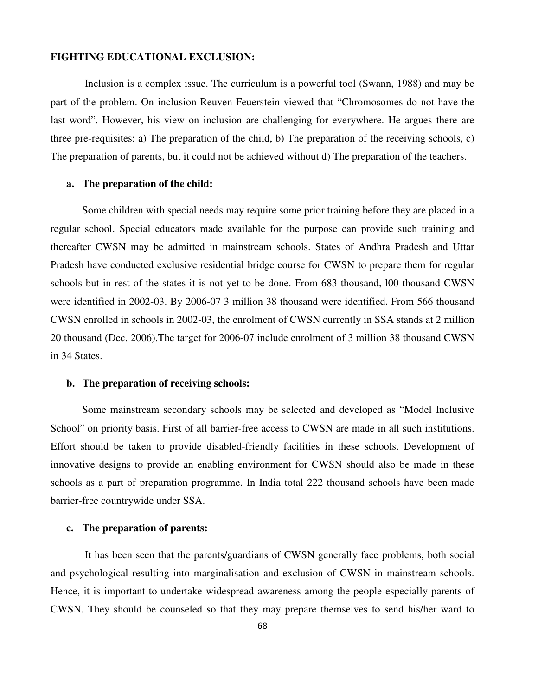#### **FIGHTING EDUCATIONAL EXCLUSION:**

 Inclusion is a complex issue. The curriculum is a powerful tool (Swann, 1988) and may be part of the problem. On inclusion Reuven Feuerstein viewed that "Chromosomes do not have the last word". However, his view on inclusion are challenging for everywhere. He argues there are three pre-requisites: a) The preparation of the child, b) The preparation of the receiving schools, c) The preparation of parents, but it could not be achieved without d) The preparation of the teachers.

#### **a. The preparation of the child:**

Some children with special needs may require some prior training before they are placed in a regular school. Special educators made available for the purpose can provide such training and thereafter CWSN may be admitted in mainstream schools. States of Andhra Pradesh and Uttar Pradesh have conducted exclusive residential bridge course for CWSN to prepare them for regular schools but in rest of the states it is not yet to be done. From 683 thousand, l00 thousand CWSN were identified in 2002-03. By 2006-07 3 million 38 thousand were identified. From 566 thousand CWSN enrolled in schools in 2002-03, the enrolment of CWSN currently in SSA stands at 2 million 20 thousand (Dec. 2006).The target for 2006-07 include enrolment of 3 million 38 thousand CWSN in 34 States.

#### **b. The preparation of receiving schools:**

Some mainstream secondary schools may be selected and developed as "Model Inclusive School" on priority basis. First of all barrier-free access to CWSN are made in all such institutions. Effort should be taken to provide disabled-friendly facilities in these schools. Development of innovative designs to provide an enabling environment for CWSN should also be made in these schools as a part of preparation programme. In India total 222 thousand schools have been made barrier-free countrywide under SSA.

## **c. The preparation of parents:**

 It has been seen that the parents/guardians of CWSN generally face problems, both social and psychological resulting into marginalisation and exclusion of CWSN in mainstream schools. Hence, it is important to undertake widespread awareness among the people especially parents of CWSN. They should be counseled so that they may prepare themselves to send his/her ward to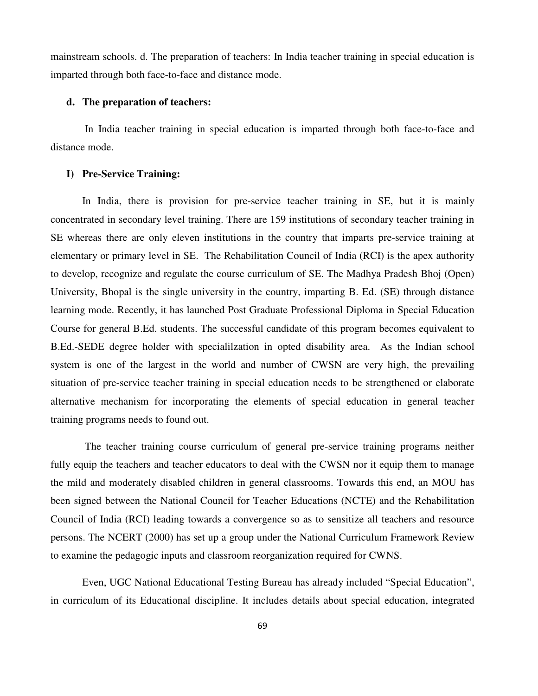mainstream schools. d. The preparation of teachers: In India teacher training in special education is imparted through both face-to-face and distance mode.

## **d. The preparation of teachers:**

 In India teacher training in special education is imparted through both face-to-face and distance mode.

#### **I) Pre-Service Training:**

In India, there is provision for pre-service teacher training in SE, but it is mainly concentrated in secondary level training. There are 159 institutions of secondary teacher training in SE whereas there are only eleven institutions in the country that imparts pre-service training at elementary or primary level in SE. The Rehabilitation Council of India (RCI) is the apex authority to develop, recognize and regulate the course curriculum of SE. The Madhya Pradesh Bhoj (Open) University, Bhopal is the single university in the country, imparting B. Ed. (SE) through distance learning mode. Recently, it has launched Post Graduate Professional Diploma in Special Education Course for general B.Ed. students. The successful candidate of this program becomes equivalent to B.Ed.-SEDE degree holder with specialilzation in opted disability area. As the Indian school system is one of the largest in the world and number of CWSN are very high, the prevailing situation of pre-service teacher training in special education needs to be strengthened or elaborate alternative mechanism for incorporating the elements of special education in general teacher training programs needs to found out.

 The teacher training course curriculum of general pre-service training programs neither fully equip the teachers and teacher educators to deal with the CWSN nor it equip them to manage the mild and moderately disabled children in general classrooms. Towards this end, an MOU has been signed between the National Council for Teacher Educations (NCTE) and the Rehabilitation Council of India (RCI) leading towards a convergence so as to sensitize all teachers and resource persons. The NCERT (2000) has set up a group under the National Curriculum Framework Review to examine the pedagogic inputs and classroom reorganization required for CWNS.

Even, UGC National Educational Testing Bureau has already included "Special Education", in curriculum of its Educational discipline. It includes details about special education, integrated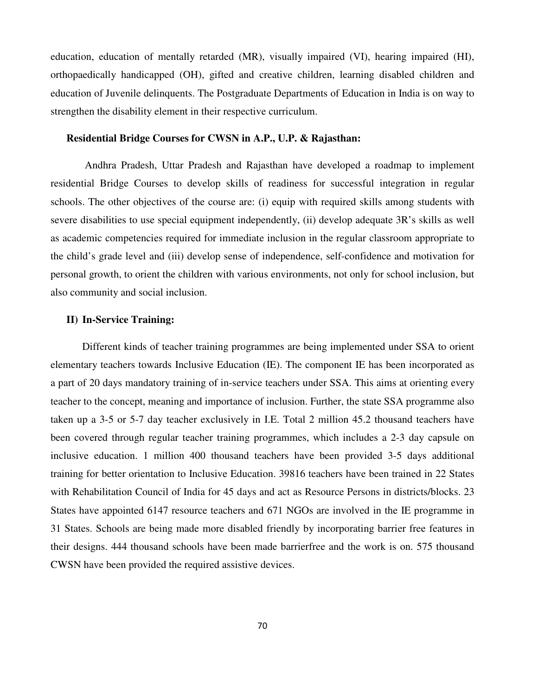education, education of mentally retarded (MR), visually impaired (VI), hearing impaired (HI), orthopaedically handicapped (OH), gifted and creative children, learning disabled children and education of Juvenile delinquents. The Postgraduate Departments of Education in India is on way to strengthen the disability element in their respective curriculum.

#### **Residential Bridge Courses for CWSN in A.P., U.P. & Rajasthan:**

 Andhra Pradesh, Uttar Pradesh and Rajasthan have developed a roadmap to implement residential Bridge Courses to develop skills of readiness for successful integration in regular schools. The other objectives of the course are: (i) equip with required skills among students with severe disabilities to use special equipment independently, (ii) develop adequate 3R's skills as well as academic competencies required for immediate inclusion in the regular classroom appropriate to the child's grade level and (iii) develop sense of independence, self-confidence and motivation for personal growth, to orient the children with various environments, not only for school inclusion, but also community and social inclusion.

## **II) In-Service Training:**

Different kinds of teacher training programmes are being implemented under SSA to orient elementary teachers towards Inclusive Education (IE). The component IE has been incorporated as a part of 20 days mandatory training of in-service teachers under SSA. This aims at orienting every teacher to the concept, meaning and importance of inclusion. Further, the state SSA programme also taken up a 3-5 or 5-7 day teacher exclusively in I.E. Total 2 million 45.2 thousand teachers have been covered through regular teacher training programmes, which includes a 2-3 day capsule on inclusive education. 1 million 400 thousand teachers have been provided 3-5 days additional training for better orientation to Inclusive Education. 39816 teachers have been trained in 22 States with Rehabilitation Council of India for 45 days and act as Resource Persons in districts/blocks. 23 States have appointed 6147 resource teachers and 671 NGOs are involved in the IE programme in 31 States. Schools are being made more disabled friendly by incorporating barrier free features in their designs. 444 thousand schools have been made barrierfree and the work is on. 575 thousand CWSN have been provided the required assistive devices.